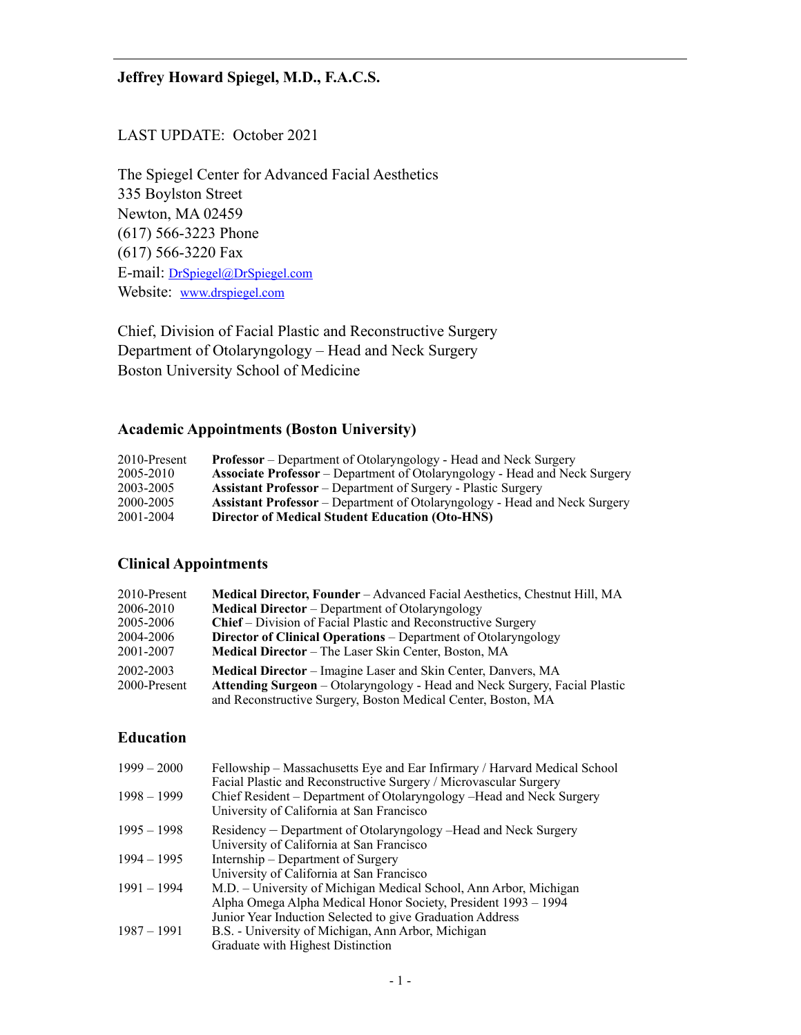# LAST UPDATE: October 2021

The Spiegel Center for Advanced Facial Aesthetics 335 Boylston Street Newton, MA 02459 (617) 566-3223 Phone (617) 566-3220 Fax E-mail: [DrSpiegel@DrSpiegel.com](mailto:DrSpiegel@DrSpiegel.com) Website: [www.drspiegel.com](http://www.drspiegel.com)

Chief, Division of Facial Plastic and Reconstructive Surgery Department of Otolaryngology – Head and Neck Surgery Boston University School of Medicine

# **Academic Appointments (Boston University)**

| 2010-Present | <b>Professor</b> – Department of Otolaryngology - Head and Neck Surgery           |
|--------------|-----------------------------------------------------------------------------------|
| 2005-2010    | <b>Associate Professor</b> – Department of Otolaryngology - Head and Neck Surgery |
| 2003-2005    | <b>Assistant Professor</b> – Department of Surgery - Plastic Surgery              |
| 2000-2005    | <b>Assistant Professor</b> – Department of Otolaryngology - Head and Neck Surgery |
| 2001-2004    | <b>Director of Medical Student Education (Oto-HNS)</b>                            |

# **Clinical Appointments**

| 2010-Present | <b>Medical Director, Founder</b> – Advanced Facial Aesthetics, Chestnut Hill, MA |
|--------------|----------------------------------------------------------------------------------|
| 2006-2010    | <b>Medical Director</b> – Department of Otolaryngology                           |
| 2005-2006    | <b>Chief</b> – Division of Facial Plastic and Reconstructive Surgery             |
| 2004-2006    | <b>Director of Clinical Operations – Department of Otolaryngology</b>            |
| 2001-2007    | <b>Medical Director</b> – The Laser Skin Center, Boston, MA                      |
| 2002-2003    | Medical Director – Imagine Laser and Skin Center, Danvers, MA                    |
| 2000-Present | Attending Surgeon - Otolaryngology - Head and Neck Surgery, Facial Plastic       |
|              | and Reconstructive Surgery, Boston Medical Center, Boston, MA                    |

### **Education**

| $1999 - 2000$ | Fellowship – Massachusetts Eye and Ear Infirmary / Harvard Medical School<br>Facial Plastic and Reconstructive Surgery / Microvascular Surgery |
|---------------|------------------------------------------------------------------------------------------------------------------------------------------------|
| $1998 - 1999$ | Chief Resident – Department of Otolaryngology – Head and Neck Surgery<br>University of California at San Francisco                             |
| $1995 - 1998$ | Residency – Department of Otolaryngology – Head and Neck Surgery                                                                               |
|               | University of California at San Francisco                                                                                                      |
| $1994 - 1995$ | Internship – Department of Surgery                                                                                                             |
|               | University of California at San Francisco                                                                                                      |
| $1991 - 1994$ | M.D. – University of Michigan Medical School, Ann Arbor, Michigan                                                                              |
|               | Alpha Omega Alpha Medical Honor Society, President 1993 – 1994                                                                                 |
|               | Junior Year Induction Selected to give Graduation Address                                                                                      |
| $1987 - 1991$ | B.S. - University of Michigan, Ann Arbor, Michigan                                                                                             |
|               | Graduate with Highest Distinction                                                                                                              |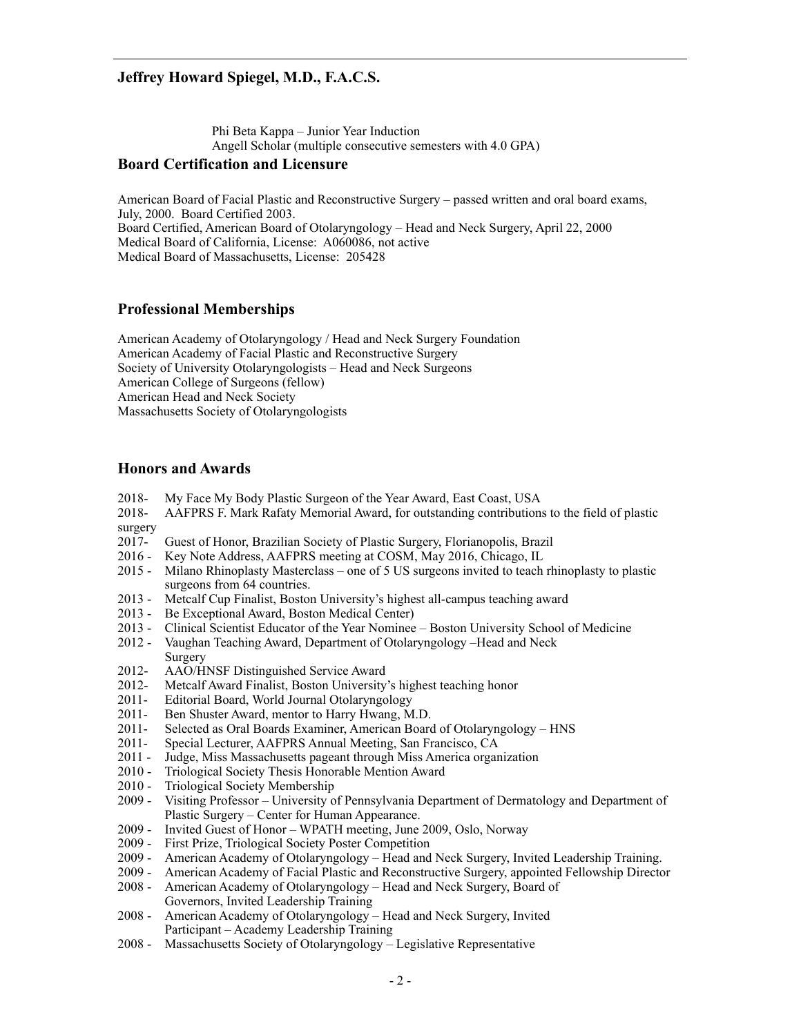Phi Beta Kappa – Junior Year Induction Angell Scholar (multiple consecutive semesters with 4.0 GPA)

### **Board Certification and Licensure**

American Board of Facial Plastic and Reconstructive Surgery – passed written and oral board exams, July, 2000. Board Certified 2003. Board Certified, American Board of Otolaryngology – Head and Neck Surgery, April 22, 2000 Medical Board of California, License: A060086, not active Medical Board of Massachusetts, License: 205428

#### **Professional Memberships**

American Academy of Otolaryngology / Head and Neck Surgery Foundation American Academy of Facial Plastic and Reconstructive Surgery Society of University Otolaryngologists – Head and Neck Surgeons American College of Surgeons (fellow) American Head and Neck Society Massachusetts Society of Otolaryngologists

#### **Honors and Awards**

- 2018- My Face My Body Plastic Surgeon of the Year Award, East Coast, USA
- 2018- AAFPRS F. Mark Rafaty Memorial Award, for outstanding contributions to the field of plastic surgery
- 2017- Guest of Honor, Brazilian Society of Plastic Surgery, Florianopolis, Brazil
- 2016 Key Note Address, AAFPRS meeting at COSM, May 2016, Chicago, IL
- 2015 Milano Rhinoplasty Masterclass one of 5 US surgeons invited to teach rhinoplasty to plastic surgeons from 64 countries.
- 2013 Metcalf Cup Finalist, Boston University's highest all-campus teaching award
- 2013 Be Exceptional Award, Boston Medical Center)
- 2013 Clinical Scientist Educator of the Year Nominee Boston University School of Medicine
- 2012 Vaughan Teaching Award, Department of Otolaryngology –Head and Neck Surgery
- 2012- AAO/HNSF Distinguished Service Award
- 2012- Metcalf Award Finalist, Boston University's highest teaching honor
- 2011- Editorial Board, World Journal Otolaryngology
- 2011- Ben Shuster Award, mentor to Harry Hwang, M.D.
- 2011- Selected as Oral Boards Examiner, American Board of Otolaryngology HNS
- 2011- Special Lecturer, AAFPRS Annual Meeting, San Francisco, CA
- 2011 Judge, Miss Massachusetts pageant through Miss America organization
- 2010 Triological Society Thesis Honorable Mention Award
- 
- 2010 Triological Society Membership<br>2009 Visiting Professor University o Visiting Professor – University of Pennsylvania Department of Dermatology and Department of Plastic Surgery – Center for Human Appearance.
- 2009 Invited Guest of Honor WPATH meeting, June 2009, Oslo, Norway
- 2009 First Prize, Triological Society Poster Competition
- 2009 American Academy of Otolaryngology Head and Neck Surgery, Invited Leadership Training.
- 2009 American Academy of Facial Plastic and Reconstructive Surgery, appointed Fellowship Director
- 2008 American Academy of Otolaryngology Head and Neck Surgery, Board of Governors, Invited Leadership Training
- 2008 American Academy of Otolaryngology Head and Neck Surgery, Invited Participant – Academy Leadership Training
- 2008 Massachusetts Society of Otolaryngology Legislative Representative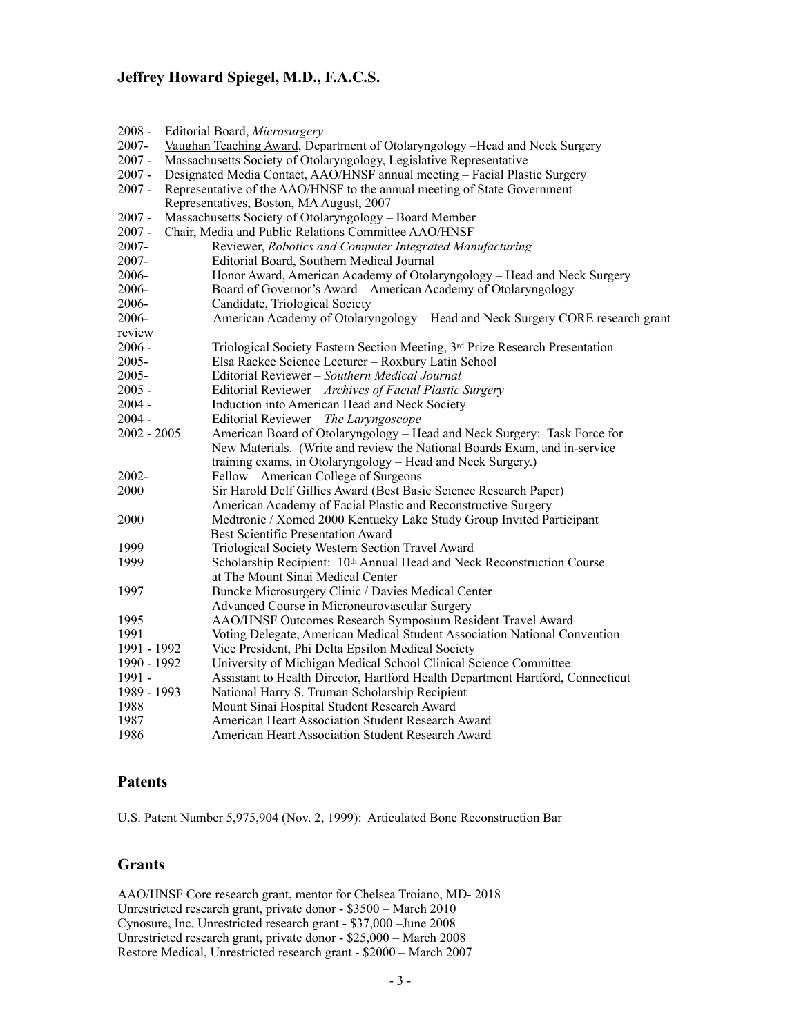| $2008 -$      | Editorial Board, Microsurgery                                                  |
|---------------|--------------------------------------------------------------------------------|
| 2007-         | Vaughan Teaching Award, Department of Otolaryngology -Head and Neck Surgery    |
| $2007 -$      | Massachusetts Society of Otolaryngology, Legislative Representative            |
| $2007 -$      | Designated Media Contact, AAO/HNSF annual meeting - Facial Plastic Surgery     |
| $2007 -$      | Representative of the AAO/HNSF to the annual meeting of State Government       |
|               | Representatives, Boston, MA August, 2007                                       |
| $2007 -$      | Massachusetts Society of Otolaryngology - Board Member                         |
| $2007 -$      | Chair, Media and Public Relations Committee AAO/HNSF                           |
| 2007-         | Reviewer, Robotics and Computer Integrated Manufacturing                       |
| 2007-         | Editorial Board, Southern Medical Journal                                      |
| 2006-         | Honor Award, American Academy of Otolaryngology - Head and Neck Surgery        |
| 2006-         | Board of Governor's Award - American Academy of Otolaryngology                 |
| 2006-         | Candidate, Triological Society                                                 |
| 2006-         | American Academy of Otolaryngology - Head and Neck Surgery CORE research grant |
| review        |                                                                                |
| $2006 -$      | Triological Society Eastern Section Meeting, 3rd Prize Research Presentation   |
| 2005-         | Elsa Rackee Science Lecturer - Roxbury Latin School                            |
| $2005 -$      | Editorial Reviewer - Southern Medical Journal                                  |
| $2005 -$      | Editorial Reviewer – Archives of Facial Plastic Surgery                        |
| $2004 -$      | Induction into American Head and Neck Society                                  |
| $2004 -$      | Editorial Reviewer - The Laryngoscope                                          |
| $2002 - 2005$ | American Board of Otolaryngology - Head and Neck Surgery: Task Force for       |
|               | New Materials. (Write and review the National Boards Exam, and in-service      |
|               | training exams, in Otolaryngology – Head and Neck Surgery.)                    |
| $2002 -$      | Fellow – American College of Surgeons                                          |
| 2000          | Sir Harold Delf Gillies Award (Best Basic Science Research Paper)              |
|               | American Academy of Facial Plastic and Reconstructive Surgery                  |
| 2000          | Medtronic / Xomed 2000 Kentucky Lake Study Group Invited Participant           |
|               | Best Scientific Presentation Award                                             |
| 1999          | Triological Society Western Section Travel Award                               |
| 1999          | Scholarship Recipient: 10th Annual Head and Neck Reconstruction Course         |
|               | at The Mount Sinai Medical Center                                              |
| 1997          | Buncke Microsurgery Clinic / Davies Medical Center                             |
|               | Advanced Course in Microneurovascular Surgery                                  |
| 1995          | AAO/HNSF Outcomes Research Symposium Resident Travel Award                     |
| 1991          | Voting Delegate, American Medical Student Association National Convention      |
| 1991 - 1992   | Vice President, Phi Delta Epsilon Medical Society                              |
| 1990 - 1992   | University of Michigan Medical School Clinical Science Committee               |
| 1991 -        | Assistant to Health Director, Hartford Health Department Hartford, Connecticut |
| 1989 - 1993   | National Harry S. Truman Scholarship Recipient                                 |
| 1988          | Mount Sinai Hospital Student Research Award                                    |
| 1987          | American Heart Association Student Research Award                              |
| 1986          | American Heart Association Student Research Award                              |

## **Patents**

U.S. Patent Number 5,975,904 (Nov. 2, 1999): Articulated Bone Reconstruction Bar

## **Grants**

AAO/HNSF Core research grant, mentor for Chelsea Troiano, MD- 2018 Unrestricted research grant, private donor - \$3500 – March 2010 Cynosure, Inc, Unrestricted research grant - \$37,000 –June 2008 Unrestricted research grant, private donor - \$25,000 – March 2008 Restore Medical, Unrestricted research grant - \$2000 – March 2007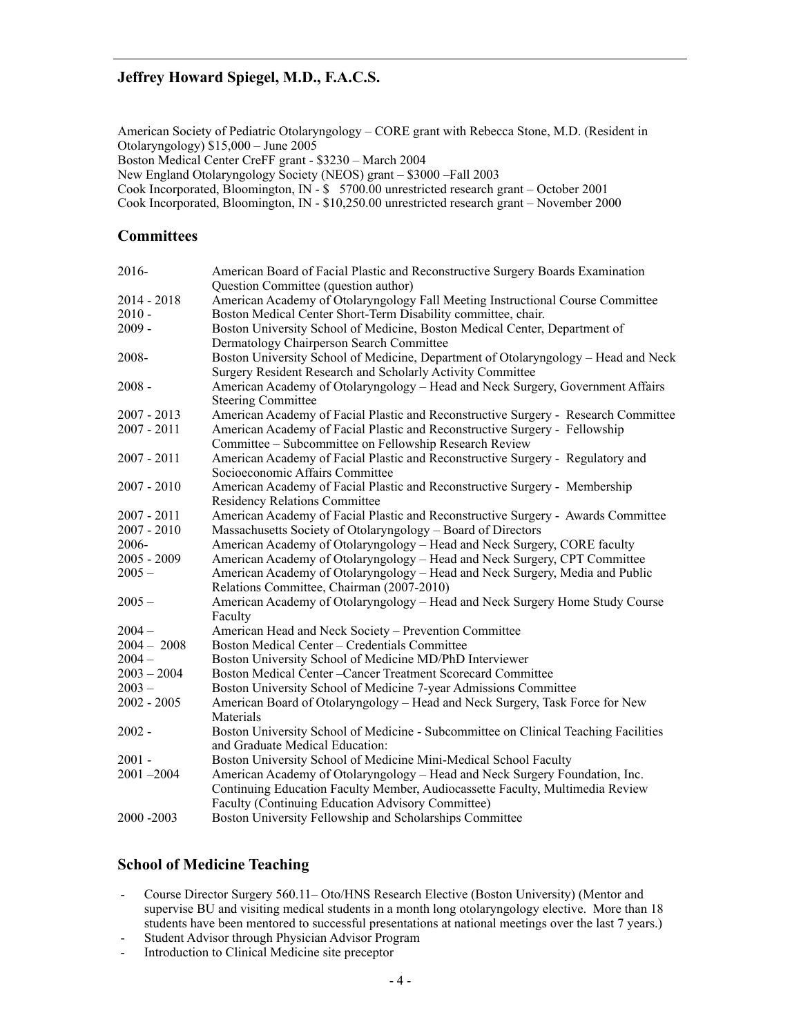American Society of Pediatric Otolaryngology – CORE grant with Rebecca Stone, M.D. (Resident in Otolaryngology) \$15,000 – June 2005

Boston Medical Center CreFF grant - \$3230 – March 2004

New England Otolaryngology Society (NEOS) grant – \$3000 –Fall 2003

Cook Incorporated, Bloomington, IN - \$ 5700.00 unrestricted research grant – October 2001

Cook Incorporated, Bloomington, IN - \$10,250.00 unrestricted research grant – November 2000

### **Committees**

| 2016-         | American Board of Facial Plastic and Reconstructive Surgery Boards Examination      |
|---------------|-------------------------------------------------------------------------------------|
|               | Question Committee (question author)                                                |
| $2014 - 2018$ | American Academy of Otolaryngology Fall Meeting Instructional Course Committee      |
| $2010 -$      | Boston Medical Center Short-Term Disability committee, chair.                       |
| $2009 -$      | Boston University School of Medicine, Boston Medical Center, Department of          |
|               | Dermatology Chairperson Search Committee                                            |
| 2008-         | Boston University School of Medicine, Department of Otolaryngology – Head and Neck  |
|               | Surgery Resident Research and Scholarly Activity Committee                          |
| $2008 -$      | American Academy of Otolaryngology – Head and Neck Surgery, Government Affairs      |
|               | <b>Steering Committee</b>                                                           |
| $2007 - 2013$ | American Academy of Facial Plastic and Reconstructive Surgery - Research Committee  |
| $2007 - 2011$ | American Academy of Facial Plastic and Reconstructive Surgery - Fellowship          |
|               | Committee – Subcommittee on Fellowship Research Review                              |
| $2007 - 2011$ | American Academy of Facial Plastic and Reconstructive Surgery - Regulatory and      |
|               | Socioeconomic Affairs Committee                                                     |
| $2007 - 2010$ | American Academy of Facial Plastic and Reconstructive Surgery - Membership          |
|               | <b>Residency Relations Committee</b>                                                |
| $2007 - 2011$ | American Academy of Facial Plastic and Reconstructive Surgery - Awards Committee    |
| $2007 - 2010$ | Massachusetts Society of Otolaryngology – Board of Directors                        |
| 2006-         | American Academy of Otolaryngology - Head and Neck Surgery, CORE faculty            |
| $2005 - 2009$ | American Academy of Otolaryngology - Head and Neck Surgery, CPT Committee           |
| $2005 -$      | American Academy of Otolaryngology - Head and Neck Surgery, Media and Public        |
|               | Relations Committee, Chairman (2007-2010)                                           |
| $2005 -$      | American Academy of Otolaryngology - Head and Neck Surgery Home Study Course        |
|               | Faculty                                                                             |
| $2004 -$      | American Head and Neck Society - Prevention Committee                               |
| $2004 - 2008$ | Boston Medical Center - Credentials Committee                                       |
| $2004 -$      | Boston University School of Medicine MD/PhD Interviewer                             |
| $2003 - 2004$ | Boston Medical Center - Cancer Treatment Scorecard Committee                        |
| $2003 -$      | Boston University School of Medicine 7-year Admissions Committee                    |
| $2002 - 2005$ | American Board of Otolaryngology - Head and Neck Surgery, Task Force for New        |
|               | Materials                                                                           |
| $2002 -$      | Boston University School of Medicine - Subcommittee on Clinical Teaching Facilities |
|               | and Graduate Medical Education:                                                     |
| $2001 -$      | Boston University School of Medicine Mini-Medical School Faculty                    |
| $2001 - 2004$ | American Academy of Otolaryngology - Head and Neck Surgery Foundation, Inc.         |
|               | Continuing Education Faculty Member, Audiocassette Faculty, Multimedia Review       |
|               | <b>Faculty (Continuing Education Advisory Committee)</b>                            |
| 2000 - 2003   | Boston University Fellowship and Scholarships Committee                             |

## **School of Medicine Teaching**

- Course Director Surgery 560.11– Oto/HNS Research Elective (Boston University) (Mentor and supervise BU and visiting medical students in a month long otolaryngology elective. More than 18 students have been mentored to successful presentations at national meetings over the last 7 years.)
- Student Advisor through Physician Advisor Program
- Introduction to Clinical Medicine site preceptor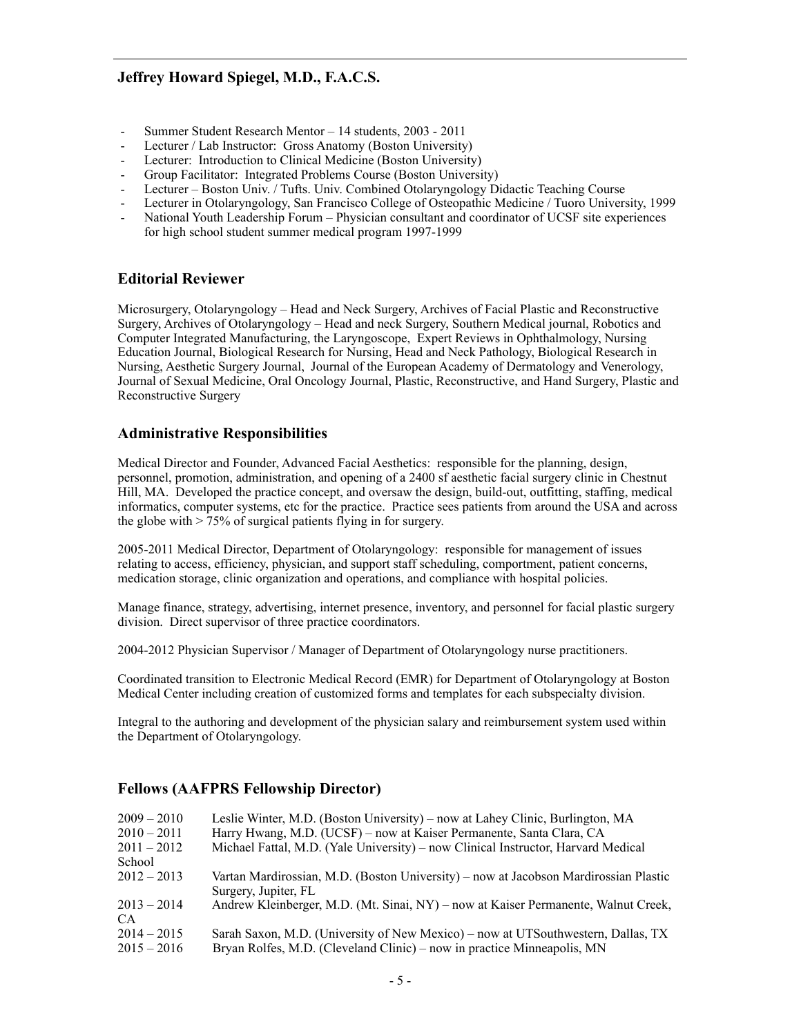- Summer Student Research Mentor 14 students, 2003 2011
- Lecturer / Lab Instructor: Gross Anatomy (Boston University)
- Lecturer: Introduction to Clinical Medicine (Boston University)
- Group Facilitator: Integrated Problems Course (Boston University)
- Lecturer Boston Univ. / Tufts. Univ. Combined Otolaryngology Didactic Teaching Course
- Lecturer in Otolaryngology, San Francisco College of Osteopathic Medicine / Tuoro University, 1999
- National Youth Leadership Forum Physician consultant and coordinator of UCSF site experiences for high school student summer medical program 1997-1999

## **Editorial Reviewer**

Microsurgery, Otolaryngology – Head and Neck Surgery, Archives of Facial Plastic and Reconstructive Surgery, Archives of Otolaryngology – Head and neck Surgery, Southern Medical journal, Robotics and Computer Integrated Manufacturing, the Laryngoscope, Expert Reviews in Ophthalmology, Nursing Education Journal, Biological Research for Nursing, Head and Neck Pathology, Biological Research in Nursing, Aesthetic Surgery Journal, Journal of the European Academy of Dermatology and Venerology, Journal of Sexual Medicine, Oral Oncology Journal, Plastic, Reconstructive, and Hand Surgery, Plastic and Reconstructive Surgery

## **Administrative Responsibilities**

Medical Director and Founder, Advanced Facial Aesthetics: responsible for the planning, design, personnel, promotion, administration, and opening of a 2400 sf aesthetic facial surgery clinic in Chestnut Hill, MA. Developed the practice concept, and oversaw the design, build-out, outfitting, staffing, medical informatics, computer systems, etc for the practice. Practice sees patients from around the USA and across the globe with > 75% of surgical patients flying in for surgery.

2005-2011 Medical Director, Department of Otolaryngology: responsible for management of issues relating to access, efficiency, physician, and support staff scheduling, comportment, patient concerns, medication storage, clinic organization and operations, and compliance with hospital policies.

Manage finance, strategy, advertising, internet presence, inventory, and personnel for facial plastic surgery division. Direct supervisor of three practice coordinators.

2004-2012 Physician Supervisor / Manager of Department of Otolaryngology nurse practitioners.

Coordinated transition to Electronic Medical Record (EMR) for Department of Otolaryngology at Boston Medical Center including creation of customized forms and templates for each subspecialty division.

Integral to the authoring and development of the physician salary and reimbursement system used within the Department of Otolaryngology.

## **Fellows (AAFPRS Fellowship Director)**

| $2009 - 2010$ | Leslie Winter, M.D. (Boston University) – now at Lahey Clinic, Burlington, MA        |
|---------------|--------------------------------------------------------------------------------------|
| $2010 - 2011$ | Harry Hwang, M.D. (UCSF) – now at Kaiser Permanente, Santa Clara, CA                 |
| $2011 - 2012$ | Michael Fattal, M.D. (Yale University) – now Clinical Instructor, Harvard Medical    |
| School        |                                                                                      |
| $2012 - 2013$ | Vartan Mardirossian, M.D. (Boston University) – now at Jacobson Mardirossian Plastic |
|               | Surgery, Jupiter, FL                                                                 |
| $2013 - 2014$ | Andrew Kleinberger, M.D. (Mt. Sinai, NY) – now at Kaiser Permanente, Walnut Creek,   |
| CA.           |                                                                                      |
| $2014 - 2015$ | Sarah Saxon, M.D. (University of New Mexico) – now at UTSouthwestern, Dallas, TX     |
| $2015 - 2016$ | Bryan Rolfes, M.D. (Cleveland Clinic) – now in practice Minneapolis, MN              |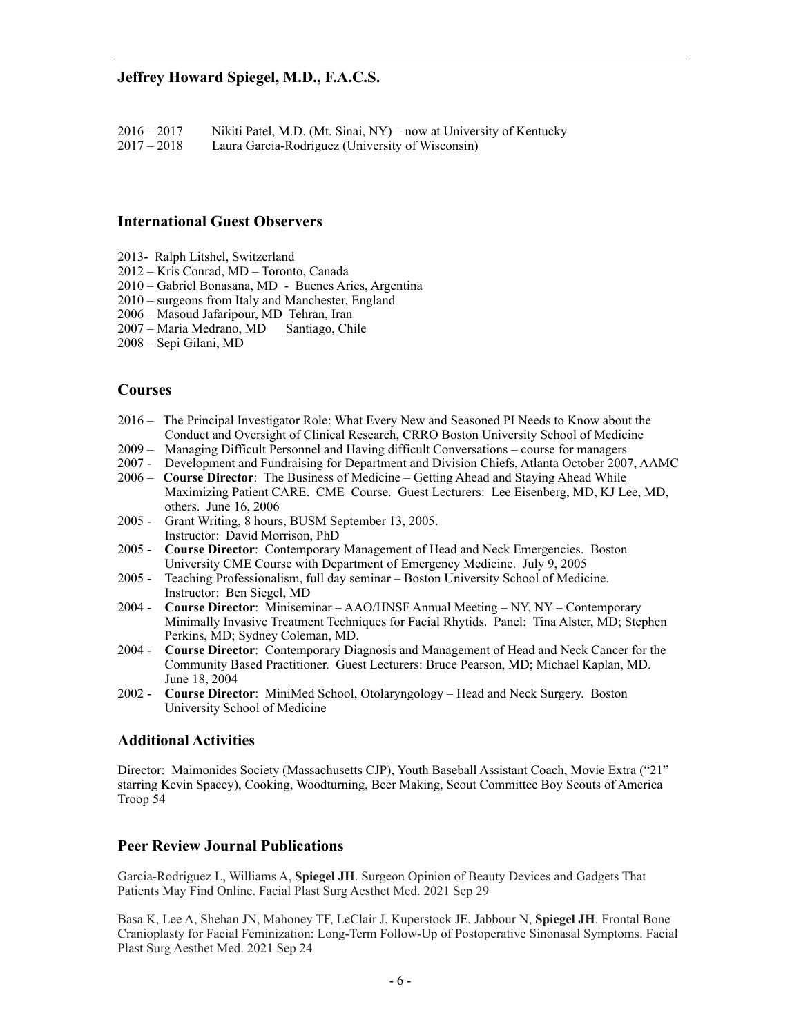$2016 - 2017$  Nikiti Patel, M.D. (Mt. Sinai, NY) – now at University of Kentucky  $2017 - 2018$  Laura Garcia-Rodriguez (University of Wisconsin) Laura Garcia-Rodriguez (University of Wisconsin)

#### **International Guest Observers**

- 2013- Ralph Litshel, Switzerland
- 2012 Kris Conrad, MD Toronto, Canada
- 2010 Gabriel Bonasana, MD Buenes Aries, Argentina
- 2010 surgeons from Italy and Manchester, England
- 2006 Masoud Jafaripour, MD Tehran, Iran
- 2007 Maria Medrano, MD Santiago, Chile
- 2008 Sepi Gilani, MD

#### **Courses**

- 2016 The Principal Investigator Role: What Every New and Seasoned PI Needs to Know about the Conduct and Oversight of Clinical Research, CRRO Boston University School of Medicine
- 2009 Managing Difficult Personnel and Having difficult Conversations course for managers
- 2007 Development and Fundraising for Department and Division Chiefs, Atlanta October 2007, AAMC
- 2006 **Course Director**: The Business of Medicine Getting Ahead and Staying Ahead While Maximizing Patient CARE. CME Course. Guest Lecturers: Lee Eisenberg, MD, KJ Lee, MD, others. June 16, 2006
- 2005 Grant Writing, 8 hours, BUSM September 13, 2005. Instructor: David Morrison, PhD
- 2005 **Course Director**: Contemporary Management of Head and Neck Emergencies. Boston University CME Course with Department of Emergency Medicine. July 9, 2005
- 2005 Teaching Professionalism, full day seminar Boston University School of Medicine. Instructor: Ben Siegel, MD
- 2004 **Course Director**: Miniseminar AAO/HNSF Annual Meeting NY, NY Contemporary Minimally Invasive Treatment Techniques for Facial Rhytids. Panel: Tina Alster, MD; Stephen Perkins, MD; Sydney Coleman, MD.
- 2004 **Course Director**: Contemporary Diagnosis and Management of Head and Neck Cancer for the Community Based Practitioner. Guest Lecturers: Bruce Pearson, MD; Michael Kaplan, MD. June 18, 2004
- 2002 **Course Director**: MiniMed School, Otolaryngology Head and Neck Surgery. Boston University School of Medicine

#### **Additional Activities**

Director: Maimonides Society (Massachusetts CJP), Youth Baseball Assistant Coach, Movie Extra ("21" starring Kevin Spacey), Cooking, Woodturning, Beer Making, Scout Committee Boy Scouts of America Troop 54

#### **Peer Review Journal Publications**

Garcia-Rodriguez L, Williams A, **Spiegel JH**. Surgeon Opinion of Beauty Devices and Gadgets That Patients May Find Online. Facial Plast Surg Aesthet Med. 2021 Sep 29

Basa K, Lee A, Shehan JN, Mahoney TF, LeClair J, Kuperstock JE, Jabbour N, **Spiegel JH**. Frontal Bone Cranioplasty for Facial Feminization: Long-Term Follow-Up of Postoperative Sinonasal Symptoms. Facial Plast Surg Aesthet Med. 2021 Sep 24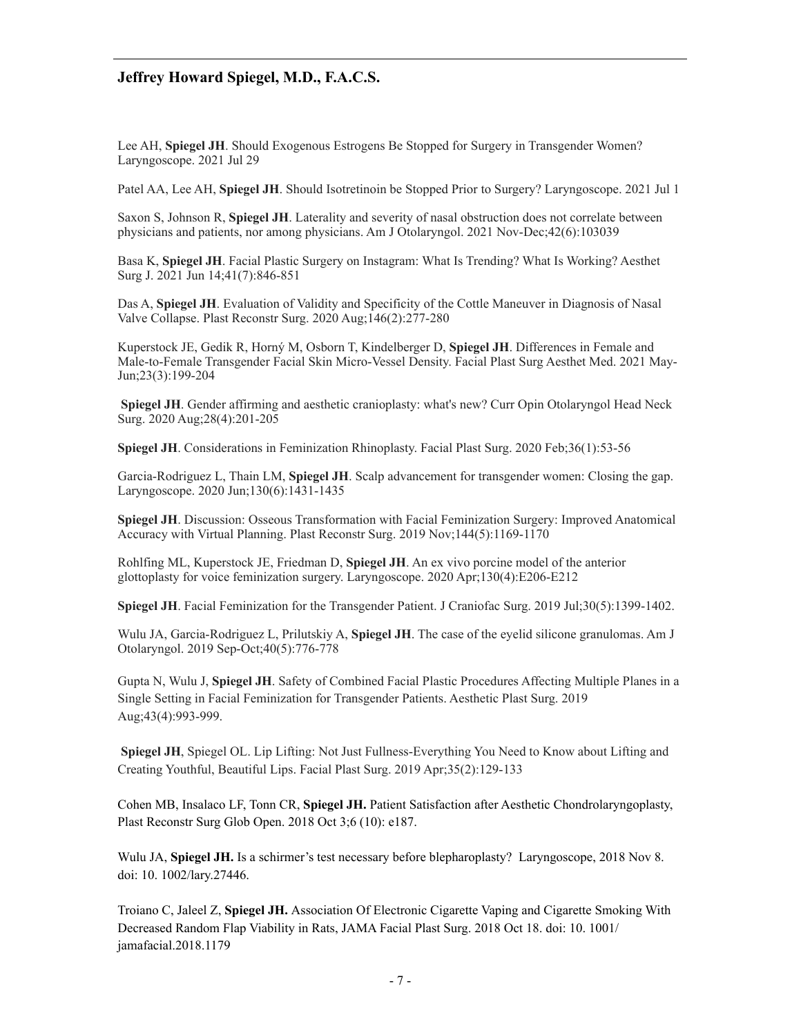Lee AH, **Spiegel JH**. Should Exogenous Estrogens Be Stopped for Surgery in Transgender Women? Laryngoscope. 2021 Jul 29

Patel AA, Lee AH, **Spiegel JH**. Should Isotretinoin be Stopped Prior to Surgery? Laryngoscope. 2021 Jul 1

Saxon S, Johnson R, **Spiegel JH**. Laterality and severity of nasal obstruction does not correlate between physicians and patients, nor among physicians. Am J Otolaryngol. 2021 Nov-Dec;42(6):103039

Basa K, **Spiegel JH**. Facial Plastic Surgery on Instagram: What Is Trending? What Is Working? Aesthet Surg J. 2021 Jun 14;41(7):846-851

Das A, **Spiegel JH**. Evaluation of Validity and Specificity of the Cottle Maneuver in Diagnosis of Nasal Valve Collapse. Plast Reconstr Surg. 2020 Aug;146(2):277-280

Kuperstock JE, Gedik R, Horný M, Osborn T, Kindelberger D, **Spiegel JH**. Differences in Female and Male-to-Female Transgender Facial Skin Micro-Vessel Density. Facial Plast Surg Aesthet Med. 2021 May-Jun;23(3):199-204

 **Spiegel JH**. Gender affirming and aesthetic cranioplasty: what's new? Curr Opin Otolaryngol Head Neck Surg. 2020 Aug;28(4):201-205

**Spiegel JH**. Considerations in Feminization Rhinoplasty. Facial Plast Surg. 2020 Feb;36(1):53-56

Garcia-Rodriguez L, Thain LM, **Spiegel JH**. Scalp advancement for transgender women: Closing the gap. Laryngoscope. 2020 Jun;130(6):1431-1435

**Spiegel JH**. Discussion: Osseous Transformation with Facial Feminization Surgery: Improved Anatomical Accuracy with Virtual Planning. Plast Reconstr Surg. 2019 Nov;144(5):1169-1170

Rohlfing ML, Kuperstock JE, Friedman D, **Spiegel JH**. An ex vivo porcine model of the anterior glottoplasty for voice feminization surgery. Laryngoscope. 2020 Apr;130(4):E206-E212

**Spiegel JH**. Facial Feminization for the Transgender Patient. J Craniofac Surg. 2019 Jul;30(5):1399-1402.

Wulu JA, Garcia-Rodriguez L, Prilutskiy A, **Spiegel JH**. The case of the eyelid silicone granulomas. Am J Otolaryngol. 2019 Sep-Oct;40(5):776-778

Gupta N, Wulu J, **Spiegel JH**. Safety of Combined Facial Plastic Procedures Affecting Multiple Planes in a Single Setting in Facial Feminization for Transgender Patients. Aesthetic Plast Surg. 2019 Aug;43(4):993-999.

**Spiegel JH**, Spiegel OL. Lip Lifting: Not Just Fullness-Everything You Need to Know about Lifting and Creating Youthful, Beautiful Lips. Facial Plast Surg. 2019 Apr;35(2):129-133

Cohen MB, Insalaco LF, Tonn CR, **Spiegel JH.** Patient Satisfaction after Aesthetic Chondrolaryngoplasty, Plast Reconstr Surg Glob Open. 2018 Oct 3;6 (10): e187.

Wulu JA, **Spiegel JH.** Is a schirmer's test necessary before blepharoplasty? Laryngoscope, 2018 Nov 8. doi: 10. 1002/lary.27446.

Troiano C, Jaleel Z, **Spiegel JH.** Association Of Electronic Cigarette Vaping and Cigarette Smoking With Decreased Random Flap Viability in Rats, JAMA Facial Plast Surg. 2018 Oct 18. doi: 10. 1001/ jamafacial.2018.1179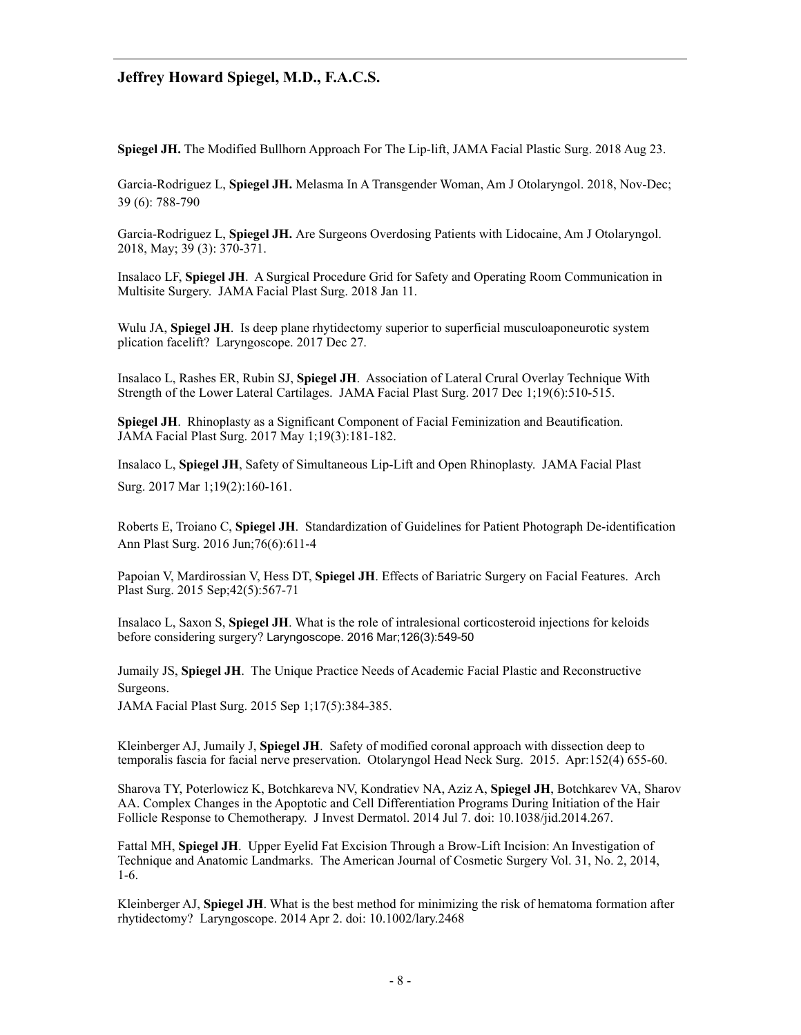**Spiegel JH.** The Modified Bullhorn Approach For The Lip-lift, JAMA Facial Plastic Surg. 2018 Aug 23.

Garcia-Rodriguez L, **Spiegel JH.** Melasma In A Transgender Woman, Am J Otolaryngol. 2018, Nov-Dec; 39 (6): 788-790

Garcia-Rodriguez L, **Spiegel JH.** Are Surgeons Overdosing Patients with Lidocaine, Am J Otolaryngol. 2018, May; 39 (3): 370-371.

Insalaco LF, **Spiegel JH**. [A Surgical Procedure Grid for Safety and Operating Room Communication in](https://www.ncbi.nlm.nih.gov/pubmed/29327040)  [Multisite Surgery.](https://www.ncbi.nlm.nih.gov/pubmed/29327040) JAMA Facial Plast Surg. 2018 Jan 11.

Wulu JA, **Spiegel JH**. Is deep plane rhytidectomy superior to superficial musculoaponeurotic system [plication facelift?](https://www.ncbi.nlm.nih.gov/pubmed/29280491) Laryngoscope. 2017 Dec 27.

Insalaco L, Rashes ER, Rubin SJ, **Spiegel JH**. [Association of Lateral Crural Overlay Technique With](https://www.ncbi.nlm.nih.gov/pubmed/28687819)  [Strength of the Lower Lateral Cartilages.](https://www.ncbi.nlm.nih.gov/pubmed/28687819) JAMA Facial Plast Surg. 2017 Dec 1;19(6):510-515.

**Spiegel JH.** Rhinoplasty as a Significant Component of Facial Feminization and Beautification. JAMA Facial Plast Surg. 2017 May 1;19(3):181-182.

Insalaco L, **Spiegel JH**, [Safety of Simultaneous Lip-Lift and Open Rhinoplasty.](https://www.ncbi.nlm.nih.gov/pubmed/27832262) JAMA Facial Plast Surg. 2017 Mar 1;19(2):160-161.

Roberts E, Troiano C, **Spiegel JH**. Standardization of Guidelines for Patient Photograph De-identification Ann Plast Surg. 2016 Jun;76(6):611-4

Papoian V, Mardirossian V, Hess DT, **Spiegel JH**. [Effects of Bariatric Surgery on Facial Features.](http://www.ncbi.nlm.nih.gov/pubmed/26430627) Arch Plast Surg. 2015 Sep;42(5):567-71

Insalaco L, Saxon S, **Spiegel JH**. [What is the role of intralesional corticosteroid injections for keloids](http://www.ncbi.nlm.nih.gov/pubmed/26527233)  [before considering surgery?](http://www.ncbi.nlm.nih.gov/pubmed/26527233) Laryngoscope. 2016 Mar;126(3):549-50

Jumaily JS, **Spiegel JH**. [The Unique Practice Needs of Academic Facial Plastic and Reconstructive](http://www.ncbi.nlm.nih.gov/pubmed/26042832)  [Surgeons.](http://www.ncbi.nlm.nih.gov/pubmed/26042832) 

JAMA Facial Plast Surg. 2015 Sep 1;17(5):384-385.

Kleinberger AJ, Jumaily J, **Spiegel JH**. Safety of modified coronal approach with dissection deep to temporalis fascia for facial nerve preservation. Otolaryngol Head Neck Surg. 2015. Apr:152(4) 655-60.

Sharova TY, Poterlowicz K, Botchkareva NV, Kondratiev NA, Aziz A, **Spiegel JH**, Botchkarev VA, Sharov AA. Complex Changes in the Apoptotic and Cell Differentiation Programs During Initiation of the Hair Follicle Response to Chemotherapy. J Invest Dermatol. 2014 Jul 7. doi: 10.1038/jid.2014.267.

Fattal MH, **Spiegel JH**. Upper Eyelid Fat Excision Through a Brow-Lift Incision: An Investigation of Technique and Anatomic Landmarks. The American Journal of Cosmetic Surgery Vol. 31, No. 2, 2014, 1-6.

Kleinberger AJ, **Spiegel JH**. What is the best method for minimizing the risk of hematoma formation after rhytidectomy? Laryngoscope. 2014 Apr 2. doi: 10.1002/lary.2468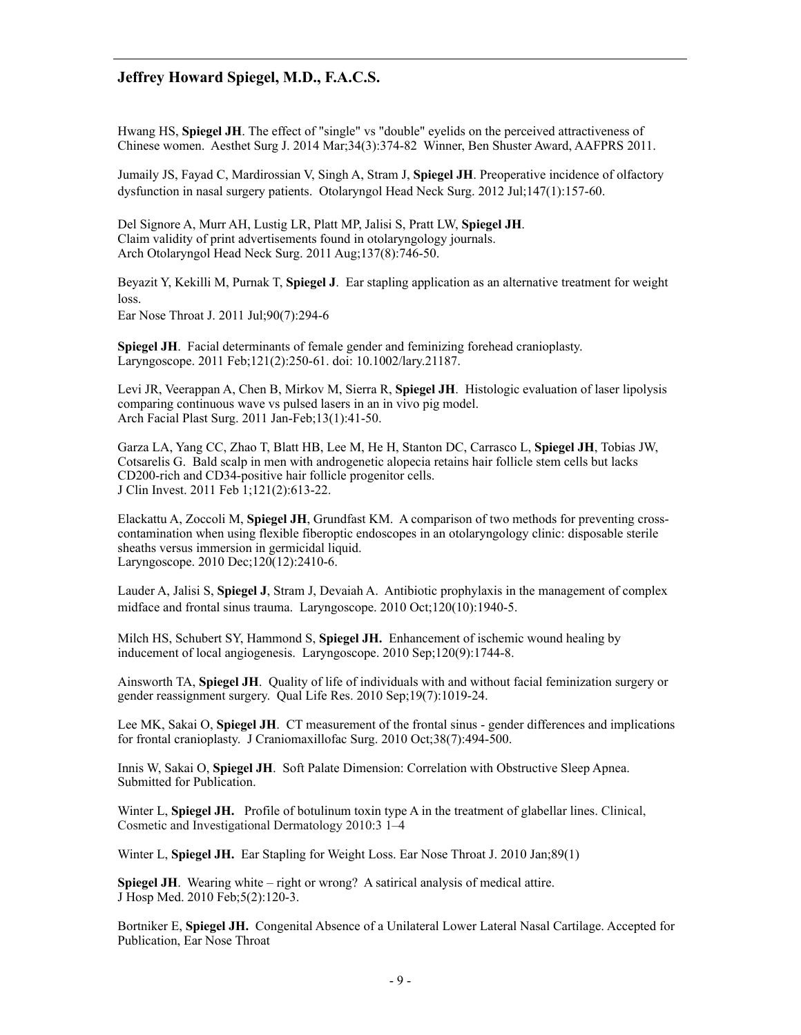Hwang HS, **Spiegel JH**. The effect of "single" vs "double" eyelids on the perceived attractiveness of Chinese women. Aesthet Surg J. 2014 Mar;34(3):374-82 Winner, Ben Shuster Award, AAFPRS 2011.

Jumaily JS, Fayad C, Mardirossian V, Singh A, Stram J, **Spiegel JH**. Preoperative incidence of olfactory dysfunction in nasal surgery patients. Otolaryngol Head Neck Surg. 2012 Jul;147(1):157-60.

Del Signore A, Murr AH, Lustig LR, Platt MP, Jalisi S, Pratt LW, **Spiegel JH**. Claim validity of print advertisements found in otolaryngology journals. Arch Otolaryngol Head Neck Surg. 2011 Aug;137(8):746-50.

Beyazit Y, Kekilli M, Purnak T, **Spiegel J**. Ear stapling application as an alternative treatment for weight loss.

Ear Nose Throat J. 2011 Jul;90(7):294-6

**Spiegel JH**. Facial determinants of female gender and feminizing forehead cranioplasty. Laryngoscope. 2011 Feb;121(2):250-61. doi: 10.1002/lary.21187.

Levi JR, Veerappan A, Chen B, Mirkov M, Sierra R, **Spiegel JH**. Histologic evaluation of laser lipolysis comparing continuous wave vs pulsed lasers in an in vivo pig model. Arch Facial Plast Surg. 2011 Jan-Feb;13(1):41-50.

Garza LA, Yang CC, Zhao T, Blatt HB, Lee M, He H, Stanton DC, Carrasco L, **Spiegel JH**, Tobias JW, Cotsarelis G. Bald scalp in men with androgenetic alopecia retains hair follicle stem cells but lacks CD200-rich and CD34-positive hair follicle progenitor cells. J Clin Invest. 2011 Feb 1;121(2):613-22.

Elackattu A, Zoccoli M, **Spiegel JH**, Grundfast KM. A comparison of two methods for preventing crosscontamination when using flexible fiberoptic endoscopes in an otolaryngology clinic: disposable sterile sheaths versus immersion in germicidal liquid. Laryngoscope. 2010 Dec;120(12):2410-6.

Lauder A, Jalisi S, **Spiegel J**, Stram J, Devaiah A. Antibiotic prophylaxis in the management of complex midface and frontal sinus trauma. Laryngoscope. 2010 Oct;120(10):1940-5.

Milch HS, Schubert SY, Hammond S, **Spiegel JH.** Enhancement of ischemic wound healing by inducement of local angiogenesis. Laryngoscope. 2010 Sep;120(9):1744-8.

Ainsworth TA, **Spiegel JH**. Quality of life of individuals with and without facial feminization surgery or gender reassignment surgery. Qual Life Res. 2010 Sep;19(7):1019-24.

Lee MK, Sakai O, **Spiegel JH**. CT measurement of the frontal sinus - gender differences and implications for frontal cranioplasty. J Craniomaxillofac Surg. 2010 Oct;38(7):494-500.

Innis W, Sakai O, **Spiegel JH**. Soft Palate Dimension: Correlation with Obstructive Sleep Apnea. Submitted for Publication.

Winter L, **Spiegel JH.** Profile of botulinum toxin type A in the treatment of glabellar lines. Clinical, Cosmetic and Investigational Dermatology 2010:3 1–4

Winter L, **Spiegel JH.** Ear Stapling for Weight Loss. Ear Nose Throat J. 2010 Jan;89(1)

**Spiegel JH**. Wearing white – right or wrong? A satirical analysis of medical attire. J Hosp Med. 2010 Feb;5(2):120-3.

Bortniker E, **Spiegel JH.** Congenital Absence of a Unilateral Lower Lateral Nasal Cartilage. Accepted for Publication, Ear Nose Throat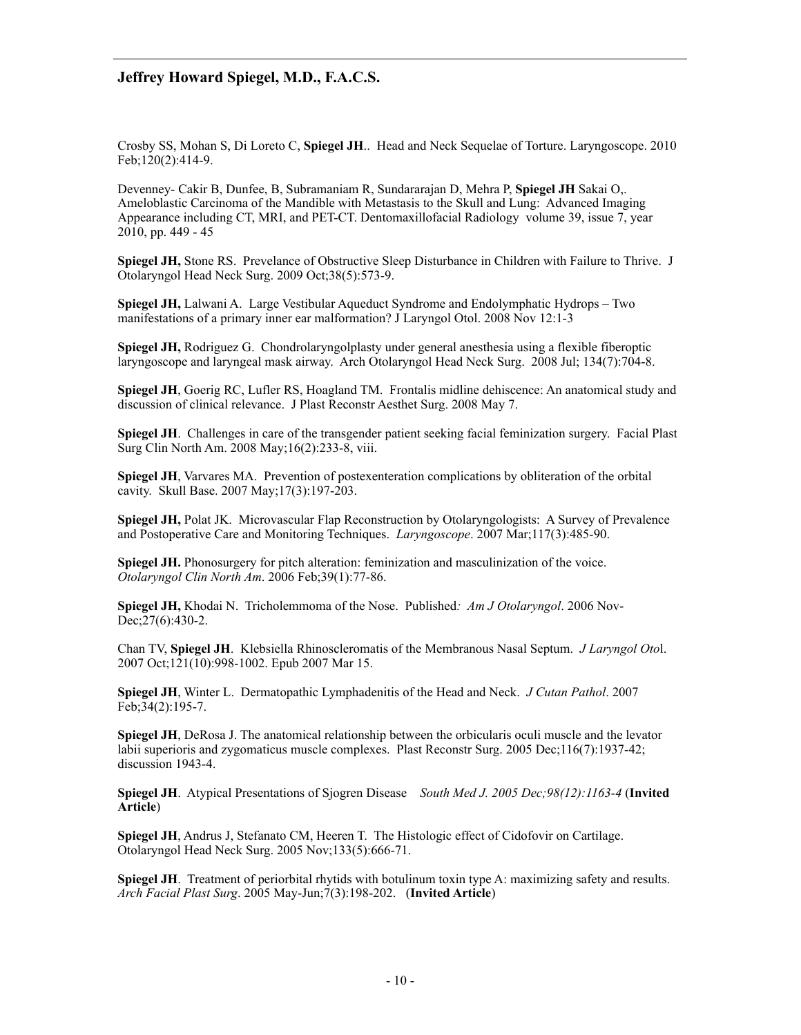Crosby SS, Mohan S, Di Loreto C, **Spiegel JH**.. Head and Neck Sequelae of Torture. Laryngoscope. 2010 Feb;120(2):414-9.

Devenney- Cakir B, Dunfee, B, Subramaniam R, Sundararajan D, Mehra P, **Spiegel JH** Sakai O,. Ameloblastic Carcinoma of the Mandible with Metastasis to the Skull and Lung: Advanced Imaging Appearance including CT, MRI, and PET-CT. Dentomaxillofacial Radiology volume 39, issue 7, year 2010, pp. 449 - 45

**Spiegel JH,** Stone RS. Prevelance of Obstructive Sleep Disturbance in Children with Failure to Thrive. J Otolaryngol Head Neck Surg. 2009 Oct;38(5):573-9.

**Spiegel JH,** Lalwani A. Large Vestibular Aqueduct Syndrome and Endolymphatic Hydrops – Two manifestations of a primary inner ear malformation? J Laryngol Otol. 2008 Nov 12:1-3

**Spiegel JH,** Rodriguez G. Chondrolaryngolplasty under general anesthesia using a flexible fiberoptic laryngoscope and laryngeal mask airway. Arch Otolaryngol Head Neck Surg. 2008 Jul; 134(7):704-8.

**Spiegel JH**, Goerig RC, Lufler RS, Hoagland TM. Frontalis midline dehiscence: An anatomical study and discussion of clinical relevance. J Plast Reconstr Aesthet Surg. 2008 May 7.

**Spiegel JH**. Challenges in care of the transgender patient seeking facial feminization surgery. Facial Plast Surg Clin North Am. 2008 May;16(2):233-8, viii.

**Spiegel JH**, Varvares MA. Prevention of postexenteration complications by obliteration of the orbital cavity. Skull Base. 2007 May;17(3):197-203.

**Spiegel JH,** Polat JK. Microvascular Flap Reconstruction by Otolaryngologists: A Survey of Prevalence and Postoperative Care and Monitoring Techniques. *Laryngoscope*. 2007 Mar;117(3):485-90.

**Spiegel JH.** Phonosurgery for pitch alteration: feminization and masculinization of the voice. *Otolaryngol Clin North Am*. 2006 Feb;39(1):77-86.

**Spiegel JH,** Khodai N. Tricholemmoma of the Nose. Published*: Am J Otolaryngol*. 2006 Nov-Dec; 27(6): 430-2.

Chan TV, **Spiegel JH**. Klebsiella Rhinoscleromatis of the Membranous Nasal Septum. *J Laryngol Oto*l. 2007 Oct;121(10):998-1002. Epub 2007 Mar 15.

**Spiegel JH**, Winter L. Dermatopathic Lymphadenitis of the Head and Neck. *J Cutan Pathol*. 2007 Feb;34(2):195-7.

**Spiegel JH**, DeRosa J. The anatomical relationship between the orbicularis oculi muscle and the levator labii superioris and zygomaticus muscle complexes. Plast Reconstr Surg. 2005 Dec;116(7):1937-42; discussion 1943-4.

**Spiegel JH**. Atypical Presentations of Sjogren Disease *South Med J. 2005 Dec;98(12):1163-4* (**Invited Article**)

**Spiegel JH**, Andrus J, Stefanato CM, Heeren T. The Histologic effect of Cidofovir on Cartilage. Otolaryngol Head Neck Surg. 2005 Nov;133(5):666-71.

**Spiegel JH.** Treatment of periorbital rhytids with botulinum toxin type A: maximizing safety and results. *Arch Facial Plast Surg*. 2005 May-Jun;7(3):198-202. (**Invited Article**)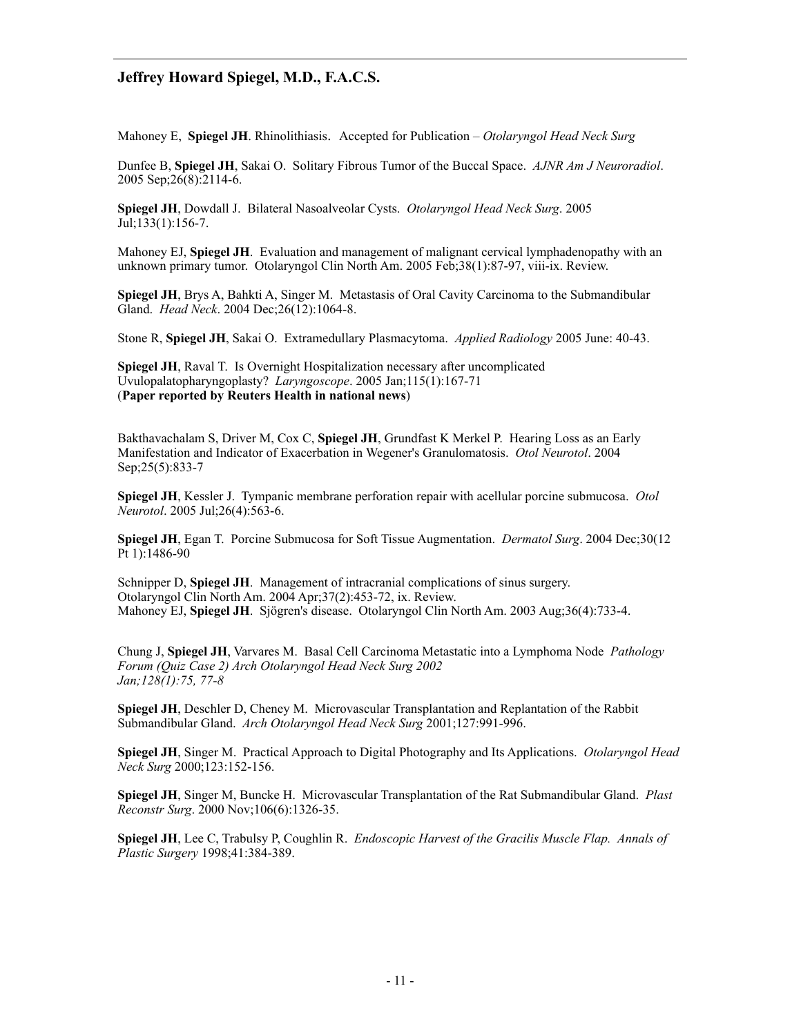Mahoney E, **Spiegel JH**. Rhinolithiasis. Accepted for Publication – *Otolaryngol Head Neck Surg*

Dunfee B, **Spiegel JH**, Sakai O. Solitary Fibrous Tumor of the Buccal Space. *AJNR Am J Neuroradiol*. 2005 Sep;26(8):2114-6.

**Spiegel JH**, Dowdall J. Bilateral Nasoalveolar Cysts. *Otolaryngol Head Neck Surg*. 2005 Jul;133(1):156-7.

Mahoney EJ, **Spiegel JH**. Evaluation and management of malignant cervical lymphadenopathy with an unknown primary tumor. Otolaryngol Clin North Am. 2005 Feb;38(1):87-97, viii-ix. Review.

**Spiegel JH**, Brys A, Bahkti A, Singer M. Metastasis of Oral Cavity Carcinoma to the Submandibular Gland. *Head Neck*. 2004 Dec;26(12):1064-8.

Stone R, **Spiegel JH**, Sakai O. Extramedullary Plasmacytoma. *Applied Radiology* 2005 June: 40-43.

**Spiegel JH**, Raval T. Is Overnight Hospitalization necessary after uncomplicated Uvulopalatopharyngoplasty? *Laryngoscope*. 2005 Jan;115(1):167-71 (**Paper reported by Reuters Health in national news**)

Bakthavachalam S, Driver M, Cox C, **Spiegel JH**, Grundfast K Merkel P. Hearing Loss as an Early Manifestation and Indicator of Exacerbation in Wegener's Granulomatosis. *Otol Neurotol*. 2004 Sep;25(5):833-7

**Spiegel JH**, Kessler J. Tympanic membrane perforation repair with acellular porcine submucosa. *Otol Neurotol*. 2005 Jul;26(4):563-6.

**Spiegel JH**, Egan T. Porcine Submucosa for Soft Tissue Augmentation. *Dermatol Surg*. 2004 Dec;30(12 Pt 1):1486-90

Schnipper D, **Spiegel JH**. Management of intracranial complications of sinus surgery. Otolaryngol Clin North Am. 2004 Apr;37(2):453-72, ix. Review. Mahoney EJ, **Spiegel JH**. Sjögren's disease. Otolaryngol Clin North Am. 2003 Aug;36(4):733-4.

Chung J, **Spiegel JH**, Varvares M. Basal Cell Carcinoma Metastatic into a Lymphoma Node *Pathology Forum (Quiz Case 2) Arch Otolaryngol Head Neck Surg 2002 Jan;128(1):75, 77-8* 

**Spiegel JH**, Deschler D, Cheney M. Microvascular Transplantation and Replantation of the Rabbit Submandibular Gland. *Arch Otolaryngol Head Neck Surg* 2001;127:991-996.

**Spiegel JH**, Singer M. Practical Approach to Digital Photography and Its Applications. *Otolaryngol Head Neck Surg* 2000;123:152-156.

**Spiegel JH**, Singer M, Buncke H. Microvascular Transplantation of the Rat Submandibular Gland. *Plast Reconstr Surg*. 2000 Nov;106(6):1326-35.

**Spiegel JH**, Lee C, Trabulsy P, Coughlin R. *Endoscopic Harvest of the Gracilis Muscle Flap. Annals of Plastic Surgery* 1998;41:384-389.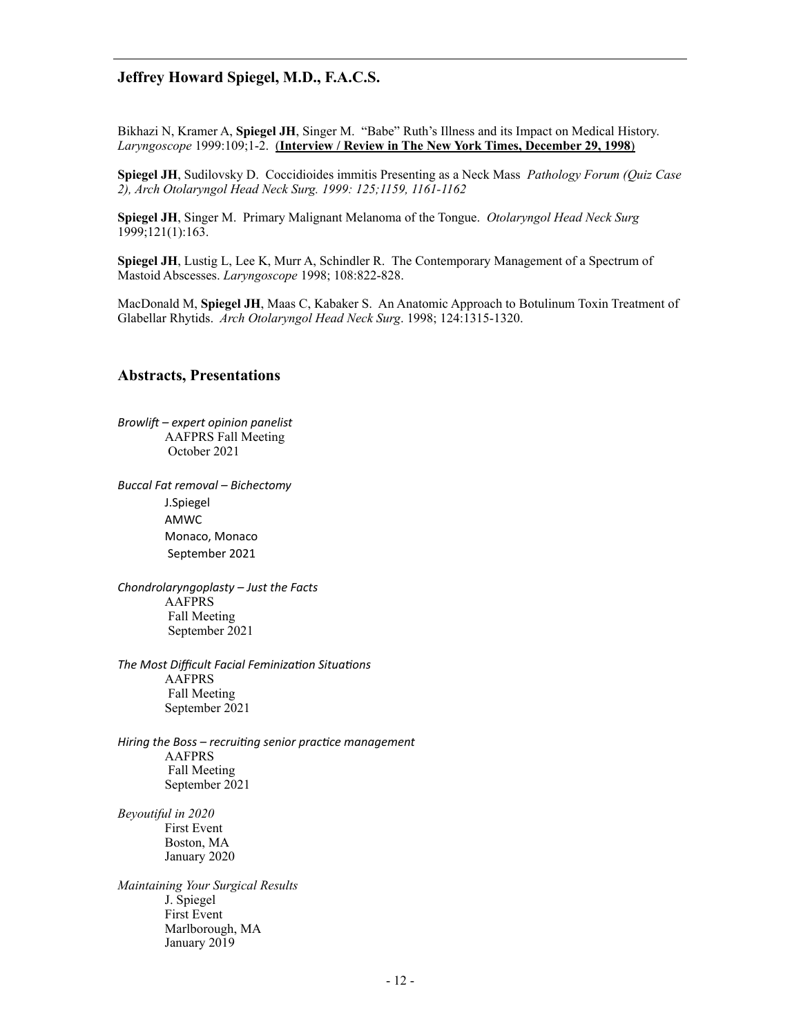Bikhazi N, Kramer A, **Spiegel JH**, Singer M. "Babe" Ruth's Illness and its Impact on Medical History. *Laryngoscope* 1999:109;1-2. (**Interview / Review in The New York Times, December 29, 1998**)

**Spiegel JH**, Sudilovsky D. Coccidioides immitis Presenting as a Neck Mass *Pathology Forum (Quiz Case 2), Arch Otolaryngol Head Neck Surg. 1999: 125;1159, 1161-1162* 

**Spiegel JH**, Singer M. Primary Malignant Melanoma of the Tongue. *Otolaryngol Head Neck Surg*  1999;121(1):163.

**Spiegel JH**, Lustig L, Lee K, Murr A, Schindler R. The Contemporary Management of a Spectrum of Mastoid Abscesses. *Laryngoscope* 1998; 108:822-828.

MacDonald M, **Spiegel JH**, Maas C, Kabaker S. An Anatomic Approach to Botulinum Toxin Treatment of Glabellar Rhytids. *Arch Otolaryngol Head Neck Surg*. 1998; 124:1315-1320.

#### **Abstracts, Presentations**

*Browlift* – expert opinion panelist AAFPRS Fall Meeting October 2021

*Buccal Fat removal – Bichectomy* J.Spiegel AMWC Monaco, Monaco September 2021

*Chondrolaryngoplasty* – Just the Facts AAFPRS Fall Meeting September 2021

The Most Difficult Facial Feminization Situations AAFPRS Fall Meeting September 2021

Hiring the Boss – recruiting senior practice management AAFPRS Fall Meeting September 2021

*Beyoutiful in 2020*  First Event Boston, MA January 2020

*Maintaining Your Surgical Results*  J. Spiegel First Event Marlborough, MA January 2019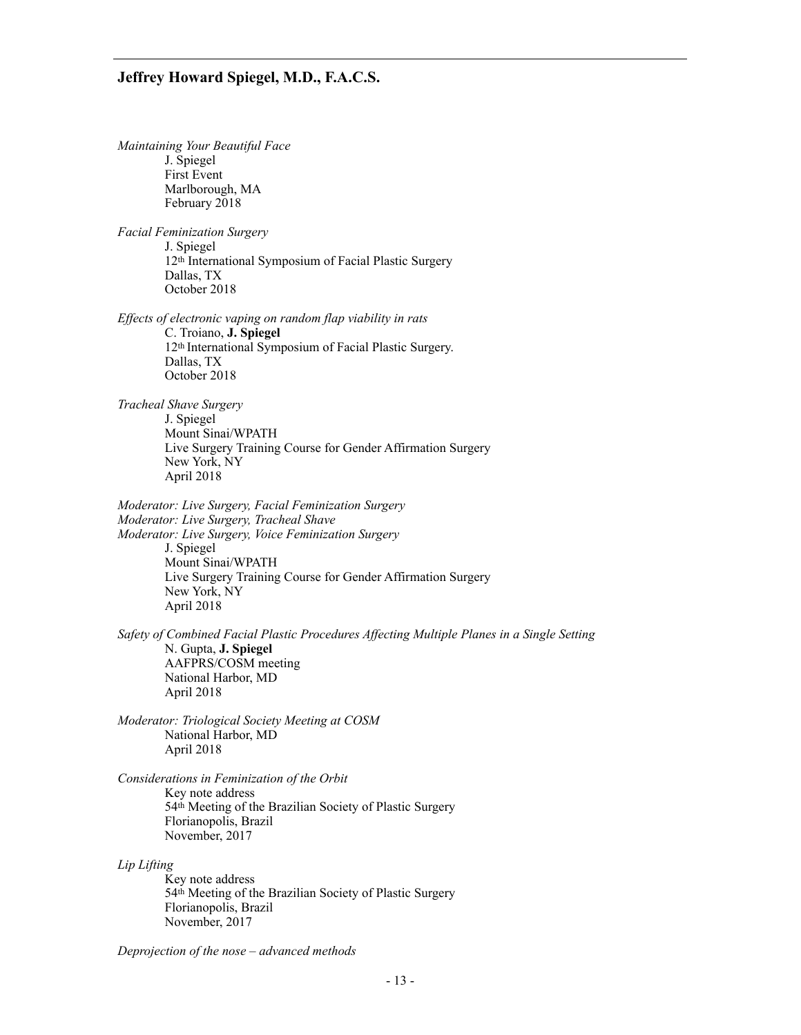*Maintaining Your Beautiful Face*  J. Spiegel First Event Marlborough, MA February 2018 *Facial Feminization Surgery*  J. Spiegel 12th International Symposium of Facial Plastic Surgery Dallas, TX October 2018 *Effects of electronic vaping on random flap viability in rats*  C. Troiano, **J. Spiegel** 12th International Symposium of Facial Plastic Surgery. Dallas, TX October 2018 *Tracheal Shave Surgery*  J. Spiegel Mount Sinai/WPATH Live Surgery Training Course for Gender Affirmation Surgery New York, NY April 2018 *Moderator: Live Surgery, Facial Feminization Surgery Moderator: Live Surgery, Tracheal Shave Moderator: Live Surgery, Voice Feminization Surgery*  J. Spiegel Mount Sinai/WPATH Live Surgery Training Course for Gender Affirmation Surgery New York, NY April 2018 *Safety of Combined Facial Plastic Procedures Affecting Multiple Planes in a Single Setting*  N. Gupta, **J. Spiegel** AAFPRS/COSM meeting National Harbor, MD April 2018 *Moderator: Triological Society Meeting at COSM*  National Harbor, MD April 2018 *Considerations in Feminization of the Orbit*  Key note address 54th Meeting of the Brazilian Society of Plastic Surgery Florianopolis, Brazil November, 2017 *Lip Lifting*  Key note address 54th Meeting of the Brazilian Society of Plastic Surgery Florianopolis, Brazil November, 2017

*Deprojection of the nose – advanced methods*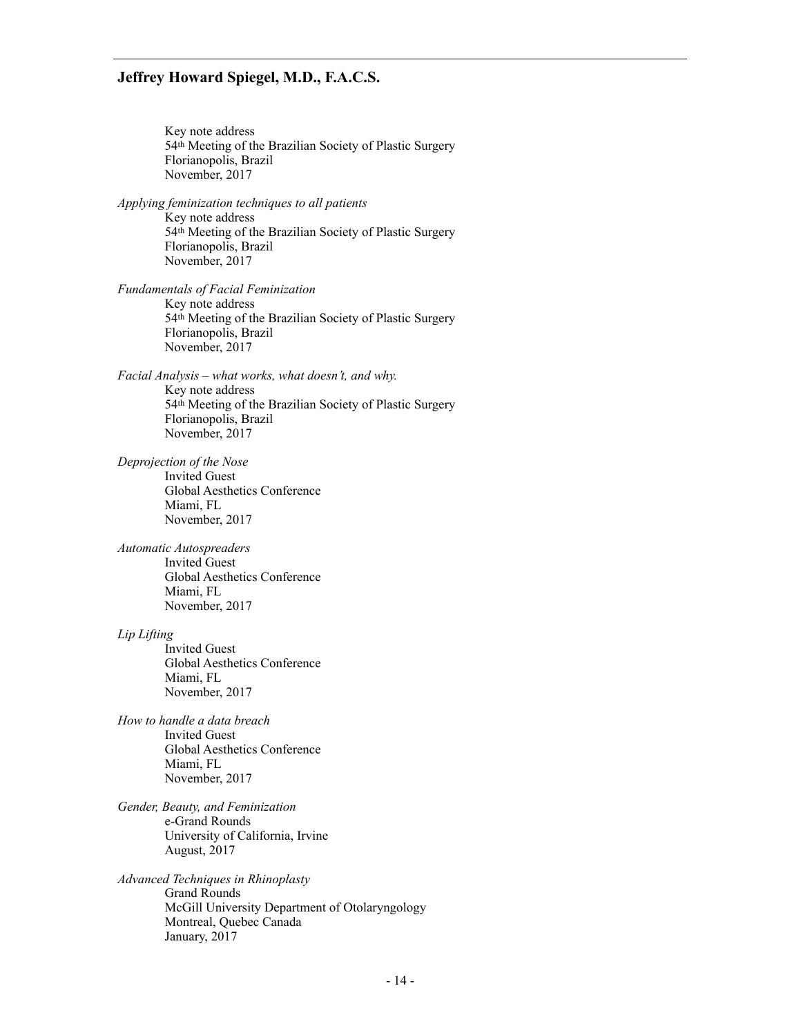Key note address 54th Meeting of the Brazilian Society of Plastic Surgery Florianopolis, Brazil November, 2017 *Applying feminization techniques to all patients*  Key note address 54th Meeting of the Brazilian Society of Plastic Surgery Florianopolis, Brazil November, 2017 *Fundamentals of Facial Feminization*  Key note address 54th Meeting of the Brazilian Society of Plastic Surgery Florianopolis, Brazil November, 2017 *Facial Analysis – what works, what doesn't, and why.*  Key note address 54th Meeting of the Brazilian Society of Plastic Surgery Florianopolis, Brazil November, 2017 *Deprojection of the Nose*  Invited Guest Global Aesthetics Conference Miami, FL November, 2017 *Automatic Autospreaders*  Invited Guest Global Aesthetics Conference Miami, FL November, 2017 *Lip Lifting*  Invited Guest Global Aesthetics Conference Miami, FL November, 2017 *How to handle a data breach*  Invited Guest Global Aesthetics Conference Miami, FL November, 2017 *Gender, Beauty, and Feminization*  e-Grand Rounds University of California, Irvine August, 2017 *Advanced Techniques in Rhinoplasty*  Grand Rounds McGill University Department of Otolaryngology Montreal, Quebec Canada January, 2017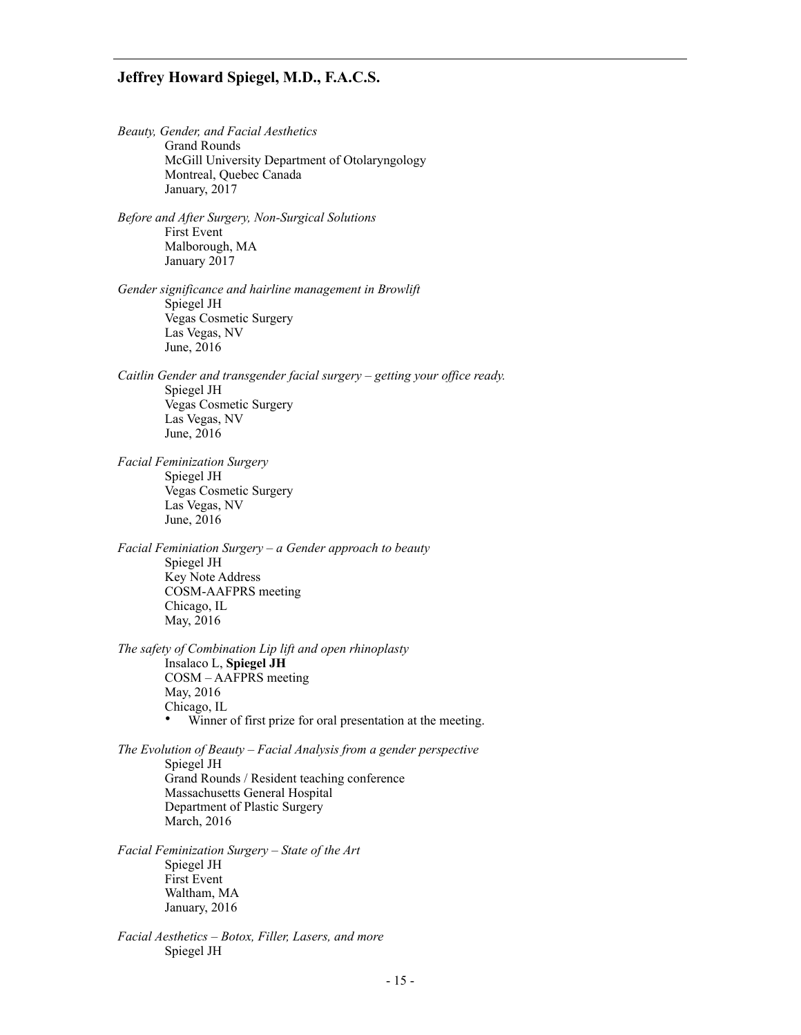*Beauty, Gender, and Facial Aesthetics*  Grand Rounds McGill University Department of Otolaryngology Montreal, Quebec Canada January, 2017

*Before and After Surgery, Non-Surgical Solutions*  First Event Malborough, MA January 2017

*Gender significance and hairline management in Browlift*  Spiegel JH Vegas Cosmetic Surgery Las Vegas, NV June, 2016

*Caitlin Gender and transgender facial surgery – getting your office ready.*  Spiegel JH Vegas Cosmetic Surgery Las Vegas, NV June, 2016

*Facial Feminization Surgery*  Spiegel JH Vegas Cosmetic Surgery Las Vegas, NV June, 2016

*Facial Feminiation Surgery – a Gender approach to beauty*  Spiegel JH Key Note Address COSM-AAFPRS meeting Chicago, IL May, 2016

*The safety of Combination Lip lift and open rhinoplasty*  Insalaco L, **Spiegel JH** COSM – AAFPRS meeting May, 2016 Chicago, IL<br>• Winner Winner of first prize for oral presentation at the meeting.

*The Evolution of Beauty – Facial Analysis from a gender perspective*  Spiegel JH Grand Rounds / Resident teaching conference Massachusetts General Hospital Department of Plastic Surgery March, 2016

*Facial Feminization Surgery – State of the Art*  Spiegel JH First Event Waltham, MA January, 2016

*Facial Aesthetics – Botox, Filler, Lasers, and more*  Spiegel JH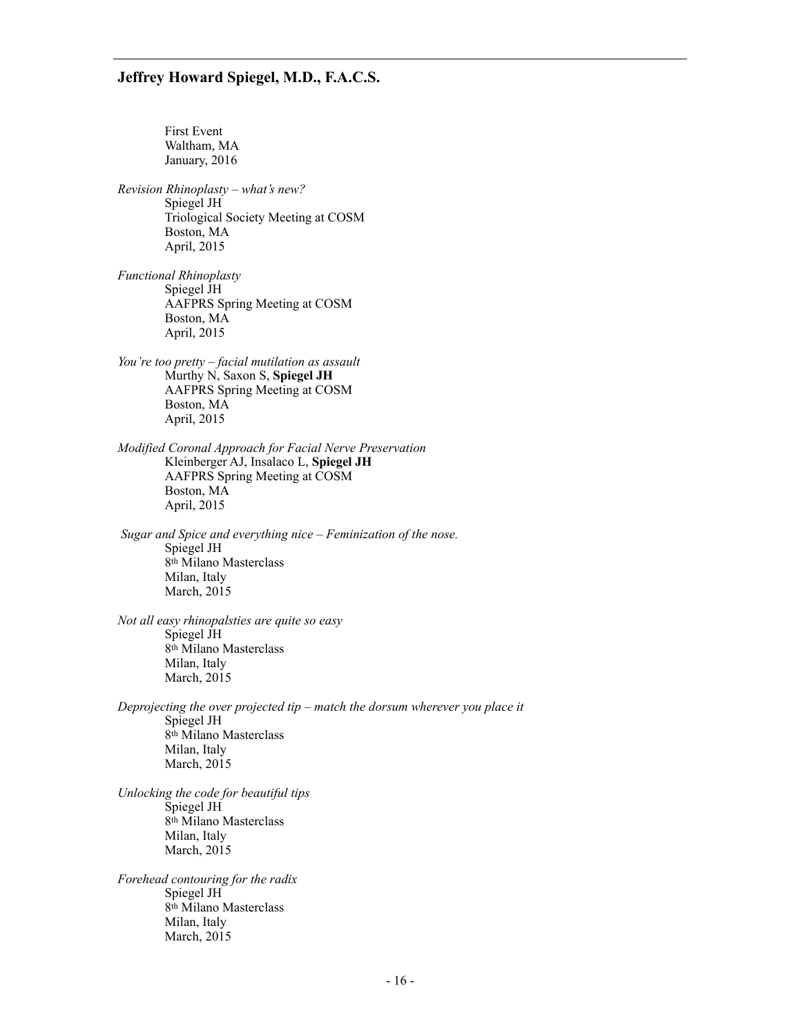First Event Waltham, MA January, 2016 *Revision Rhinoplasty – what's new?*  Spiegel JH Triological Society Meeting at COSM Boston, MA April, 2015 *Functional Rhinoplasty*  Spiegel JH AAFPRS Spring Meeting at COSM Boston, MA April, 2015 *You're too pretty – facial mutilation as assault*  Murthy N, Saxon S, **Spiegel JH** AAFPRS Spring Meeting at COSM Boston, MA April, 2015 *Modified Coronal Approach for Facial Nerve Preservation*  Kleinberger AJ, Insalaco L, **Spiegel JH** AAFPRS Spring Meeting at COSM Boston, MA April, 2015  *Sugar and Spice and everything nice – Feminization of the nose.*  Spiegel JH 8th Milano Masterclass Milan, Italy March, 2015 *Not all easy rhinopalsties are quite so easy*  Spiegel JH 8th Milano Masterclass Milan, Italy March, 2015 *Deprojecting the over projected tip – match the dorsum wherever you place it*  Spiegel JH 8th Milano Masterclass Milan, Italy March, 2015 *Unlocking the code for beautiful tips*  Spiegel JH 8th Milano Masterclass Milan, Italy March, 2015 *Forehead contouring for the radix*  Spiegel JH 8th Milano Masterclass Milan, Italy March, 2015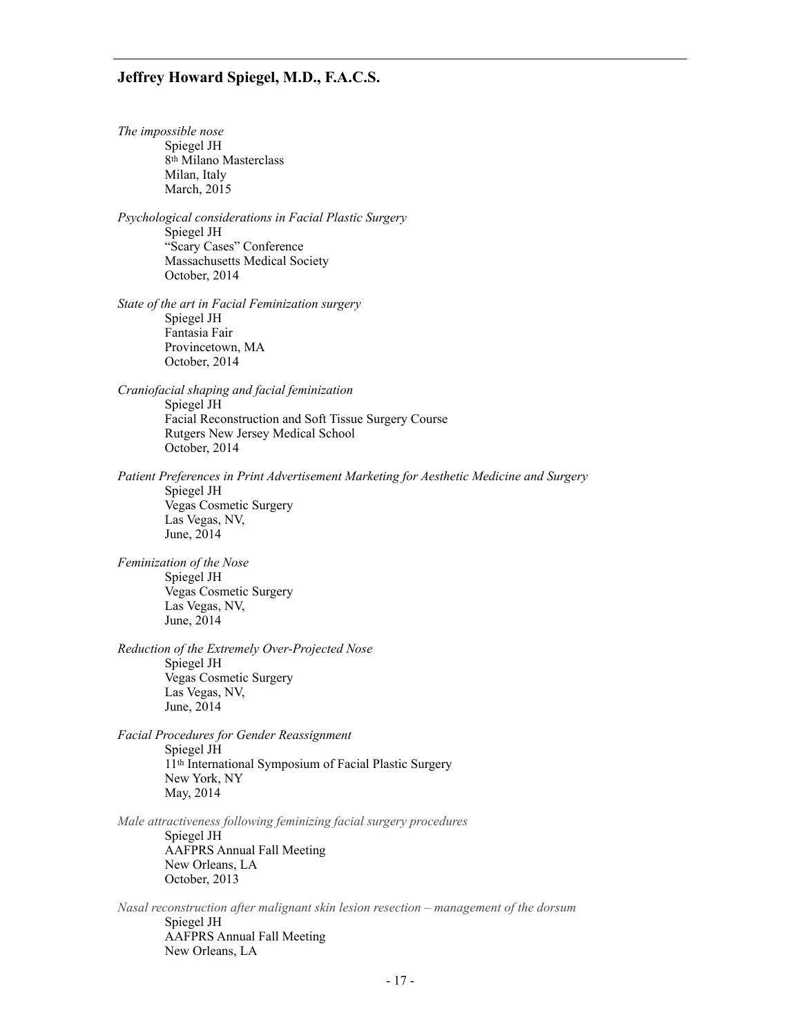*The impossible nose*  Spiegel JH 8th Milano Masterclass Milan, Italy March, 2015 *Psychological considerations in Facial Plastic Surgery*  Spiegel JH "Scary Cases" Conference Massachusetts Medical Society October, 2014 *State of the art in Facial Feminization surgery*  Spiegel JH Fantasia Fair Provincetown, MA October, 2014 *Craniofacial shaping and facial feminization*  Spiegel JH Facial Reconstruction and Soft Tissue Surgery Course Rutgers New Jersey Medical School October, 2014 *Patient Preferences in Print Advertisement Marketing for Aesthetic Medicine and Surgery*  Spiegel JH Vegas Cosmetic Surgery Las Vegas, NV, June, 2014 *Feminization of the Nose*  Spiegel JH Vegas Cosmetic Surgery Las Vegas, NV, June, 2014 *Reduction of the Extremely Over-Projected Nose*  Spiegel JH Vegas Cosmetic Surgery Las Vegas, NV, June, 2014 *Facial Procedures for Gender Reassignment*  Spiegel JH 11th International Symposium of Facial Plastic Surgery New York, NY May, 2014 *Male attractiveness following feminizing facial surgery procedures*  Spiegel JH AAFPRS Annual Fall Meeting New Orleans, LA October, 2013 *Nasal reconstruction after malignant skin lesion resection – management of the dorsum*  Spiegel JH

AAFPRS Annual Fall Meeting

New Orleans, LA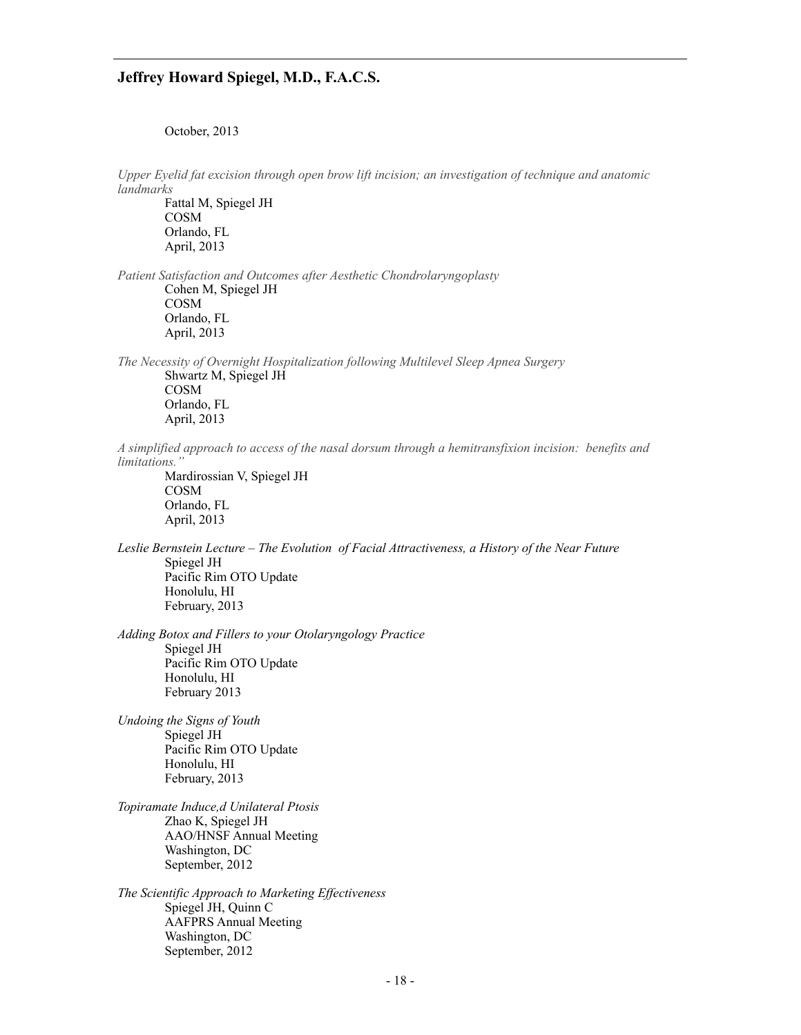October, 2013

*Upper Eyelid fat excision through open brow lift incision; an investigation of technique and anatomic landmarks*

Fattal M, Spiegel JH COSM Orlando, FL April, 2013

*Patient Satisfaction and Outcomes after Aesthetic Chondrolaryngoplasty*  Cohen M, Spiegel JH COSM Orlando, FL April, 2013

*The Necessity of Overnight Hospitalization following Multilevel Sleep Apnea Surgery*  Shwartz M, Spiegel JH COSM Orlando, FL April, 2013

*A simplified approach to access of the nasal dorsum through a hemitransfixion incision: benefits and limitations."*

Mardirossian V, Spiegel JH COSM Orlando, FL April, 2013

*Leslie Bernstein Lecture – The Evolution of Facial Attractiveness, a History of the Near Future* Spiegel JH Pacific Rim OTO Update Honolulu, HI February, 2013

*Adding Botox and Fillers to your Otolaryngology Practice*  Spiegel JH Pacific Rim OTO Update Honolulu, HI February 2013

*Undoing the Signs of Youth*  Spiegel JH Pacific Rim OTO Update Honolulu, HI February, 2013

*Topiramate Induce,d Unilateral Ptosis*  Zhao K, Spiegel JH AAO/HNSF Annual Meeting Washington, DC September, 2012

*The Scientific Approach to Marketing Effectiveness*  Spiegel JH, Quinn C AAFPRS Annual Meeting Washington, DC September, 2012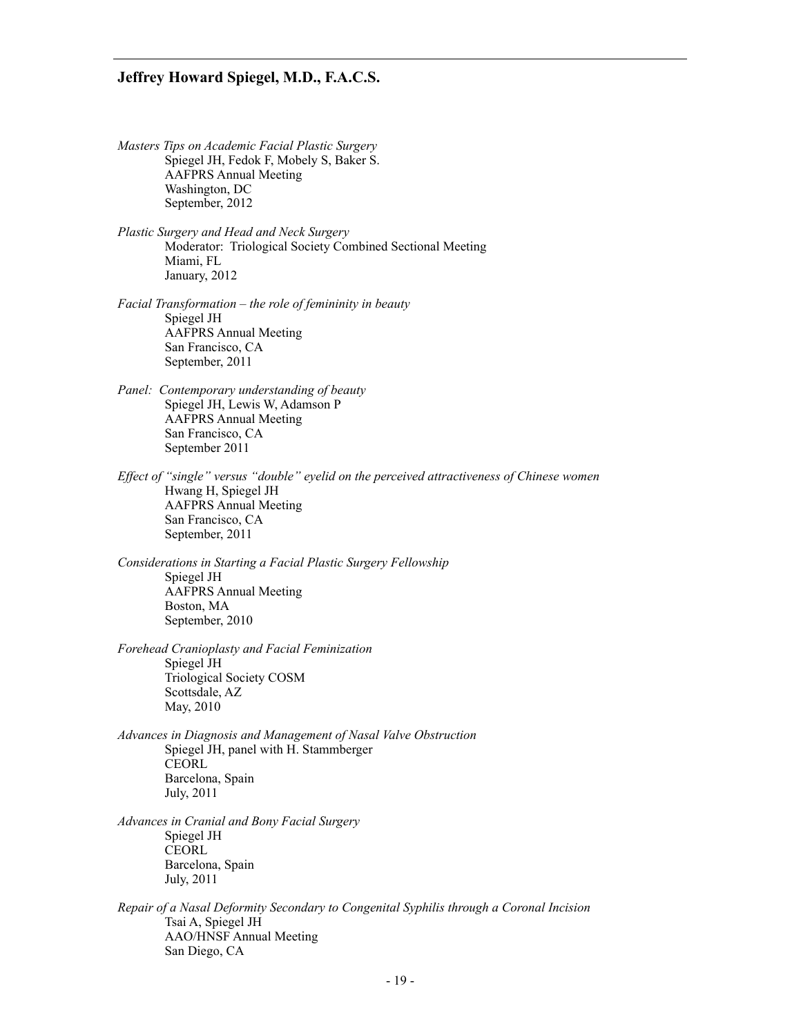- *Masters Tips on Academic Facial Plastic Surgery*  Spiegel JH, Fedok F, Mobely S, Baker S. AAFPRS Annual Meeting Washington, DC September, 2012
- *Plastic Surgery and Head and Neck Surgery*  Moderator: Triological Society Combined Sectional Meeting Miami, FL January, 2012
- *Facial Transformation the role of femininity in beauty*  Spiegel JH AAFPRS Annual Meeting San Francisco, CA September, 2011
- *Panel: Contemporary understanding of beauty* Spiegel JH, Lewis W, Adamson P AAFPRS Annual Meeting San Francisco, CA September 2011
- *Effect of "single" versus "double" eyelid on the perceived attractiveness of Chinese women*  Hwang H, Spiegel JH AAFPRS Annual Meeting San Francisco, CA September, 2011
- *Considerations in Starting a Facial Plastic Surgery Fellowship*  Spiegel JH AAFPRS Annual Meeting Boston, MA September, 2010

*Forehead Cranioplasty and Facial Feminization*  Spiegel JH Triological Society COSM Scottsdale, AZ May, 2010

- *Advances in Diagnosis and Management of Nasal Valve Obstruction*  Spiegel JH, panel with H. Stammberger **CEORL**  Barcelona, Spain July, 2011
- *Advances in Cranial and Bony Facial Surgery*  Spiegel JH **CEORL**  Barcelona, Spain July, 2011
- *Repair of a Nasal Deformity Secondary to Congenital Syphilis through a Coronal Incision*  Tsai A, Spiegel JH AAO/HNSF Annual Meeting San Diego, CA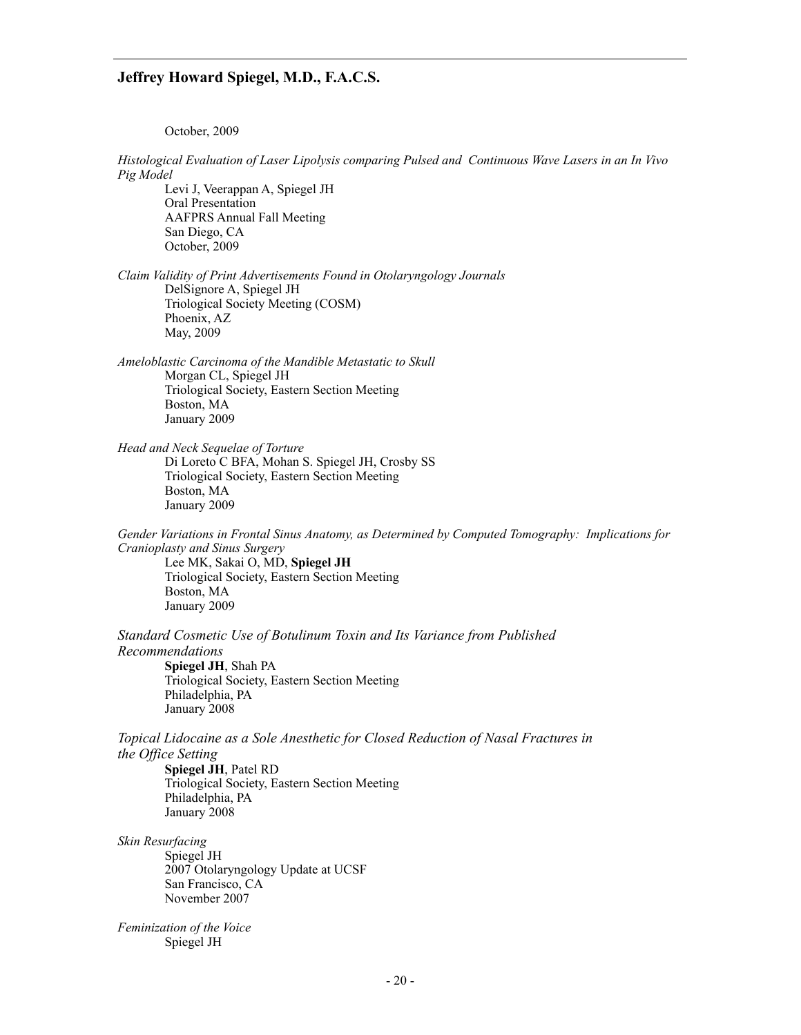October, 2009

*Histological Evaluation of Laser Lipolysis comparing Pulsed and Continuous Wave Lasers in an In Vivo Pig Model* 

Levi J, Veerappan A, Spiegel JH Oral Presentation AAFPRS Annual Fall Meeting San Diego, CA October, 2009

*Claim Validity of Print Advertisements Found in Otolaryngology Journals*  DelSignore A, Spiegel JH Triological Society Meeting (COSM) Phoenix, AZ May, 2009

*Ameloblastic Carcinoma of the Mandible Metastatic to Skull*  Morgan CL, Spiegel JH Triological Society, Eastern Section Meeting Boston, MA January 2009

*Head and Neck Sequelae of Torture*  Di Loreto C BFA, Mohan S. Spiegel JH, Crosby SS Triological Society, Eastern Section Meeting Boston, MA January 2009

*Gender Variations in Frontal Sinus Anatomy, as Determined by Computed Tomography: Implications for Cranioplasty and Sinus Surgery*  Lee MK, Sakai O, MD, **Spiegel JH**

Triological Society, Eastern Section Meeting Boston, MA January 2009

*Standard Cosmetic Use of Botulinum Toxin and Its Variance from Published Recommendations* 

**Spiegel JH**, Shah PA Triological Society, Eastern Section Meeting Philadelphia, PA January 2008

*Topical Lidocaine as a Sole Anesthetic for Closed Reduction of Nasal Fractures in the Office Setting* 

**Spiegel JH**, Patel RD Triological Society, Eastern Section Meeting Philadelphia, PA January 2008

*Skin Resurfacing*  Spiegel JH 2007 Otolaryngology Update at UCSF San Francisco, CA November 2007

*Feminization of the Voice*  Spiegel JH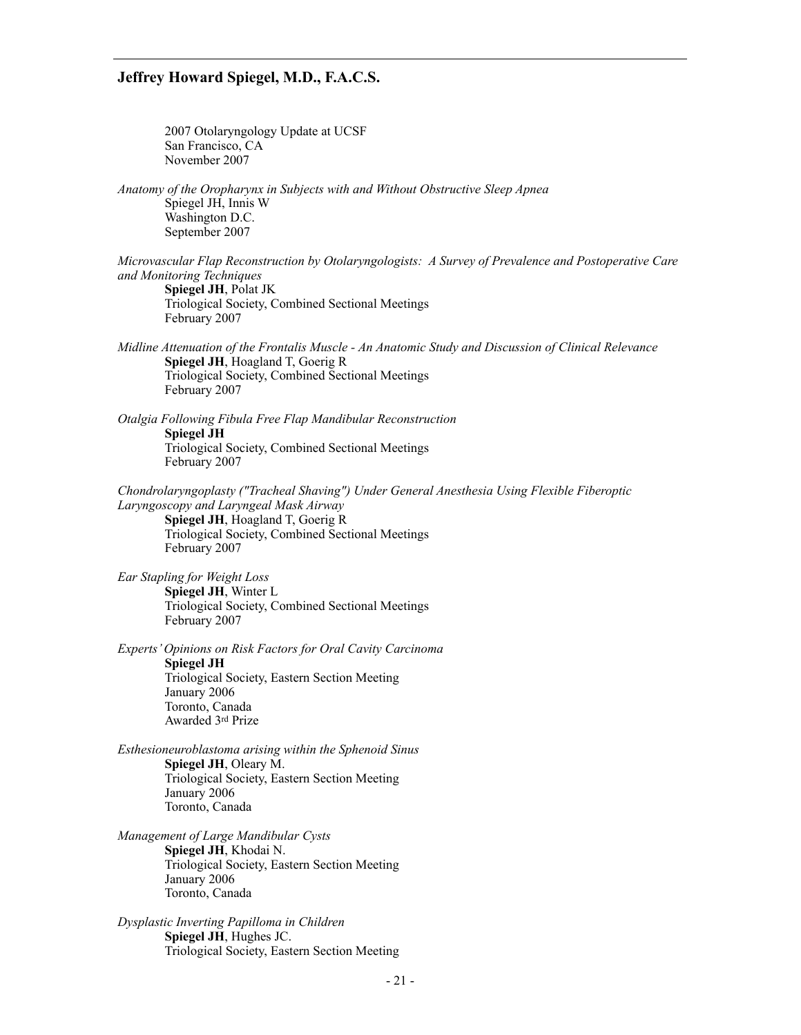2007 Otolaryngology Update at UCSF San Francisco, CA November 2007

*Anatomy of the Oropharynx in Subjects with and Without Obstructive Sleep Apnea*  Spiegel JH, Innis W Washington D.C. September 2007

*Microvascular Flap Reconstruction by Otolaryngologists: A Survey of Prevalence and Postoperative Care and Monitoring Techniques*  **Spiegel JH**, Polat JK

 Triological Society, Combined Sectional Meetings February 2007

*Midline Attenuation of the Frontalis Muscle - An Anatomic Study and Discussion of Clinical Relevance*  **Spiegel JH**, Hoagland T, Goerig R Triological Society, Combined Sectional Meetings February 2007

*Otalgia Following Fibula Free Flap Mandibular Reconstruction*  **Spiegel JH**  Triological Society, Combined Sectional Meetings February 2007

*Chondrolaryngoplasty ("Tracheal Shaving") Under General Anesthesia Using Flexible Fiberoptic Laryngoscopy and Laryngeal Mask Airway*  **Spiegel JH**, Hoagland T, Goerig R Triological Society, Combined Sectional Meetings February 2007

*Ear Stapling for Weight Loss*  **Spiegel JH**, Winter L Triological Society, Combined Sectional Meetings February 2007

*Experts' Opinions on Risk Factors for Oral Cavity Carcinoma*  **Spiegel JH**  Triological Society, Eastern Section Meeting January 2006 Toronto, Canada Awarded 3rd Prize

*Esthesioneuroblastoma arising within the Sphenoid Sinus*  **Spiegel JH**, Oleary M. Triological Society, Eastern Section Meeting January 2006 Toronto, Canada

*Management of Large Mandibular Cysts*  **Spiegel JH**, Khodai N. Triological Society, Eastern Section Meeting January 2006 Toronto, Canada

*Dysplastic Inverting Papilloma in Children*  **Spiegel JH**, Hughes JC. Triological Society, Eastern Section Meeting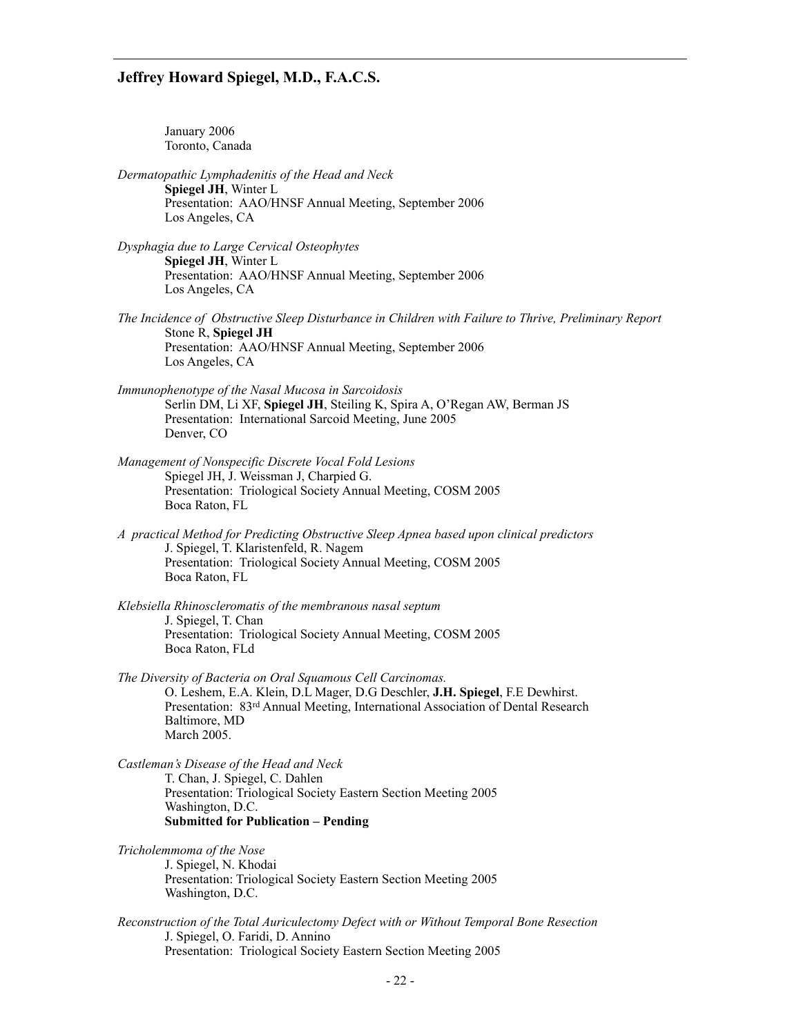January 2006 Toronto, Canada

- *Dermatopathic Lymphadenitis of the Head and Neck*  **Spiegel JH**, Winter L Presentation: AAO/HNSF Annual Meeting, September 2006 Los Angeles, CA
- *Dysphagia due to Large Cervical Osteophytes*  **Spiegel JH**, Winter L Presentation: AAO/HNSF Annual Meeting, September 2006 Los Angeles, CA
- *The Incidence of Obstructive Sleep Disturbance in Children with Failure to Thrive, Preliminary Report* Stone R, **Spiegel JH** Presentation: AAO/HNSF Annual Meeting, September 2006 Los Angeles, CA
- *Immunophenotype of the Nasal Mucosa in Sarcoidosis*  Serlin DM, Li XF, **Spiegel JH**, Steiling K, Spira A, O'Regan AW, Berman JS Presentation: International Sarcoid Meeting, June 2005 Denver, CO
- *Management of Nonspecific Discrete Vocal Fold Lesions*  Spiegel JH, J. Weissman J, Charpied G. Presentation: Triological Society Annual Meeting, COSM 2005 Boca Raton, FL
- *A practical Method for Predicting Obstructive Sleep Apnea based upon clinical predictors* J. Spiegel, T. Klaristenfeld, R. Nagem Presentation: Triological Society Annual Meeting, COSM 2005 Boca Raton, FL
- *Klebsiella Rhinoscleromatis of the membranous nasal septum*  J. Spiegel, T. Chan Presentation: Triological Society Annual Meeting, COSM 2005 Boca Raton, FLd
- *The Diversity of Bacteria on Oral Squamous Cell Carcinomas.*  O. Leshem, E.A. Klein, D.L Mager, D.G Deschler, **J.H. Spiegel**, F.E Dewhirst. Presentation: 83rd Annual Meeting, International Association of Dental Research Baltimore, MD March 2005.

*Castleman's Disease of the Head and Neck*  T. Chan, J. Spiegel, C. Dahlen Presentation: Triological Society Eastern Section Meeting 2005 Washington, D.C. **Submitted for Publication – Pending**

*Tricholemmoma of the Nose*  J. Spiegel, N. Khodai Presentation: Triological Society Eastern Section Meeting 2005 Washington, D.C.

*Reconstruction of the Total Auriculectomy Defect with or Without Temporal Bone Resection*  J. Spiegel, O. Faridi, D. Annino Presentation: Triological Society Eastern Section Meeting 2005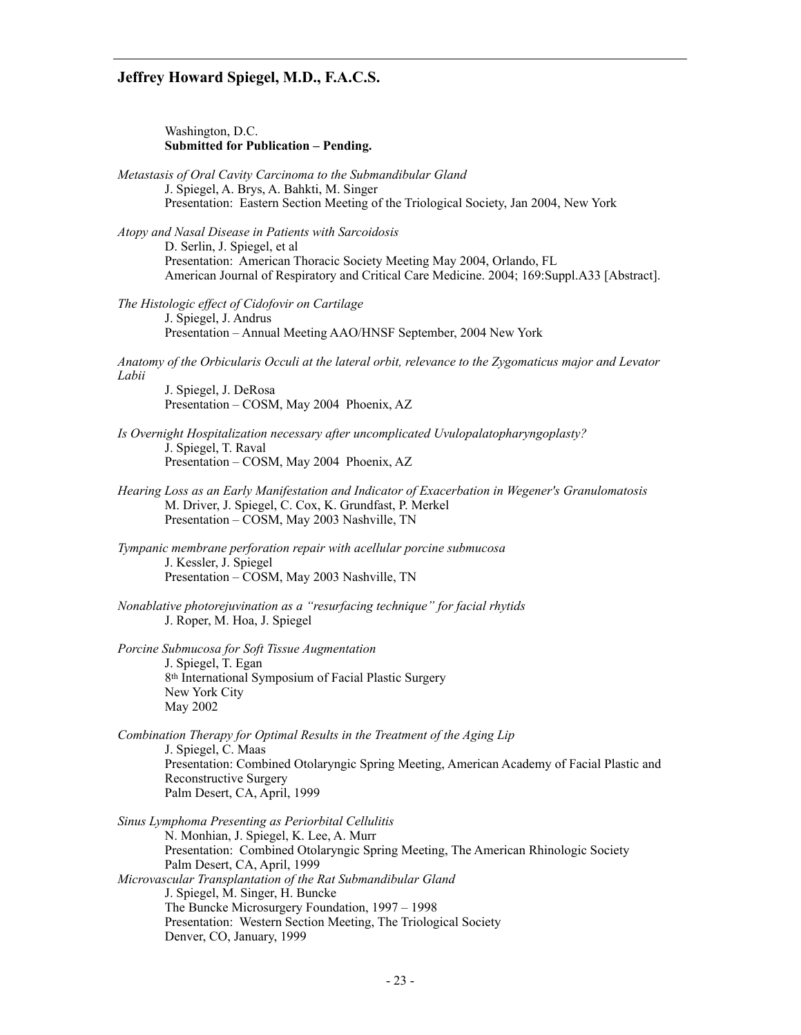Washington, D.C.  **Submitted for Publication – Pending.** 

*Metastasis of Oral Cavity Carcinoma to the Submandibular Gland*  J. Spiegel, A. Brys, A. Bahkti, M. Singer Presentation: Eastern Section Meeting of the Triological Society, Jan 2004, New York

*Atopy and Nasal Disease in Patients with Sarcoidosis*  D. Serlin, J. Spiegel, et al Presentation: American Thoracic Society Meeting May 2004, Orlando, FL American Journal of Respiratory and Critical Care Medicine. 2004; 169:Suppl.A33 [Abstract].

*The Histologic effect of Cidofovir on Cartilage*  J. Spiegel, J. Andrus Presentation – Annual Meeting AAO/HNSF September, 2004 New York

*Anatomy of the Orbicularis Occuli at the lateral orbit, relevance to the Zygomaticus major and Levator Labii* 

J. Spiegel, J. DeRosa Presentation – COSM, May 2004 Phoenix, AZ

*Is Overnight Hospitalization necessary after uncomplicated Uvulopalatopharyngoplasty?*  J. Spiegel, T. Raval Presentation – COSM, May 2004 Phoenix, AZ

*Hearing Loss as an Early Manifestation and Indicator of Exacerbation in Wegener's Granulomatosis*  M. Driver, J. Spiegel, C. Cox, K. Grundfast, P. Merkel Presentation – COSM, May 2003 Nashville, TN

*Tympanic membrane perforation repair with acellular porcine submucosa*  J. Kessler, J. Spiegel Presentation – COSM, May 2003 Nashville, TN

*Nonablative photorejuvination as a "resurfacing technique" for facial rhytids*  J. Roper, M. Hoa, J. Spiegel

*Porcine Submucosa for Soft Tissue Augmentation*  J. Spiegel, T. Egan 8th International Symposium of Facial Plastic Surgery New York City May 2002

*Combination Therapy for Optimal Results in the Treatment of the Aging Lip*  J. Spiegel, C. Maas Presentation: Combined Otolaryngic Spring Meeting, American Academy of Facial Plastic and Reconstructive Surgery Palm Desert, CA, April, 1999

*Sinus Lymphoma Presenting as Periorbital Cellulitis*  N. Monhian, J. Spiegel, K. Lee, A. Murr Presentation: Combined Otolaryngic Spring Meeting, The American Rhinologic Society Palm Desert, CA, April, 1999 *Microvascular Transplantation of the Rat Submandibular Gland*  J. Spiegel, M. Singer, H. Buncke The Buncke Microsurgery Foundation, 1997 – 1998 Presentation: Western Section Meeting, The Triological Society Denver, CO, January, 1999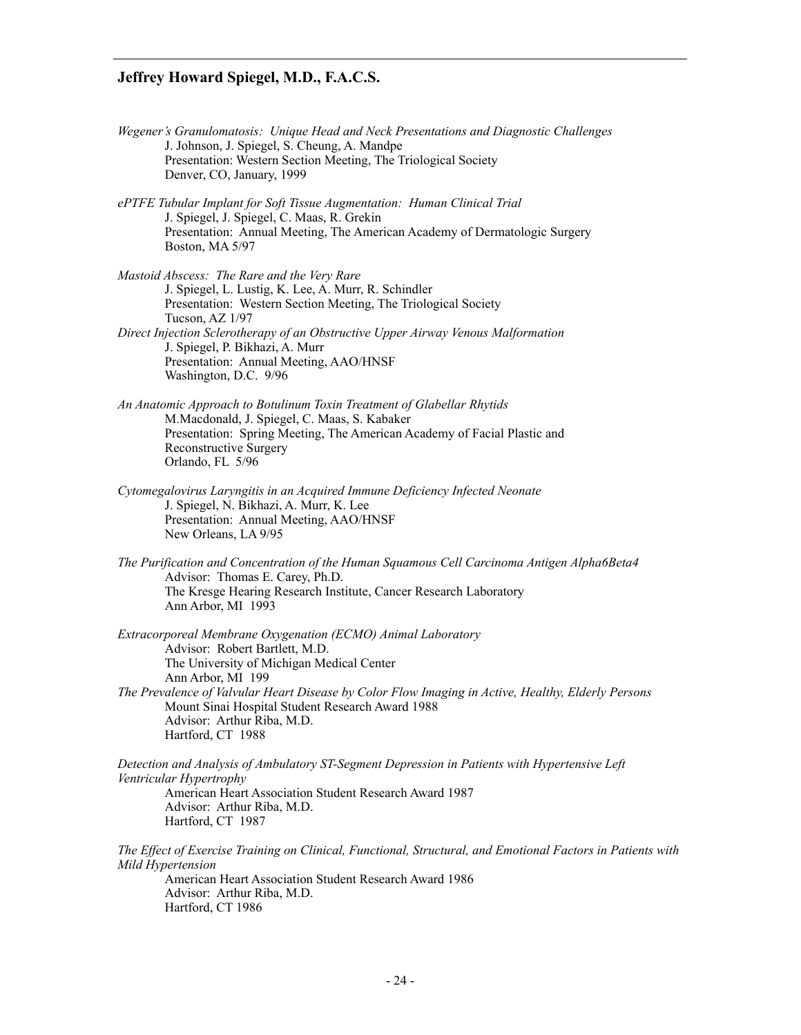- *Wegener's Granulomatosis: Unique Head and Neck Presentations and Diagnostic Challenges* J. Johnson, J. Spiegel, S. Cheung, A. Mandpe Presentation: Western Section Meeting, The Triological Society Denver, CO, January, 1999
- *ePTFE Tubular Implant for Soft Tissue Augmentation: Human Clinical Trial* J. Spiegel, J. Spiegel, C. Maas, R. Grekin Presentation: Annual Meeting, The American Academy of Dermatologic Surgery Boston, MA 5/97
- *Mastoid Abscess: The Rare and the Very Rare* J. Spiegel, L. Lustig, K. Lee, A. Murr, R. Schindler Presentation: Western Section Meeting, The Triological Society Tucson, AZ 1/97 *Direct Injection Sclerotherapy of an Obstructive Upper Airway Venous Malformation*
- J. Spiegel, P. Bikhazi, A. Murr Presentation: Annual Meeting, AAO/HNSF Washington, D.C. 9/96
- *An Anatomic Approach to Botulinum Toxin Treatment of Glabellar Rhytids*  M.Macdonald, J. Spiegel, C. Maas, S. Kabaker Presentation: Spring Meeting, The American Academy of Facial Plastic and Reconstructive Surgery Orlando, FL 5/96
- *Cytomegalovirus Laryngitis in an Acquired Immune Deficiency Infected Neonate*  J. Spiegel, N. Bikhazi, A. Murr, K. Lee Presentation: Annual Meeting, AAO/HNSF New Orleans, LA 9/95
- *The Purification and Concentration of the Human Squamous Cell Carcinoma Antigen Alpha6Beta4*  Advisor: Thomas E. Carey, Ph.D. The Kresge Hearing Research Institute, Cancer Research Laboratory Ann Arbor, MI 1993
- *Extracorporeal Membrane Oxygenation (ECMO) Animal Laboratory*  Advisor: Robert Bartlett, M.D. The University of Michigan Medical Center Ann Arbor, MI 199 *The Prevalence of Valvular Heart Disease by Color Flow Imaging in Active, Healthy, Elderly Persons*  Mount Sinai Hospital Student Research Award 1988 Advisor: Arthur Riba, M.D.

*Detection and Analysis of Ambulatory ST-Segment Depression in Patients with Hypertensive Left Ventricular Hypertrophy*  American Heart Association Student Research Award 1987 Advisor: Arthur Riba, M.D. Hartford, CT 1987

*The Effect of Exercise Training on Clinical, Functional, Structural, and Emotional Factors in Patients with Mild Hypertension*  American Heart Association Student Research Award 1986 Advisor: Arthur Riba, M.D.

Hartford, CT 1986

Hartford, CT 1988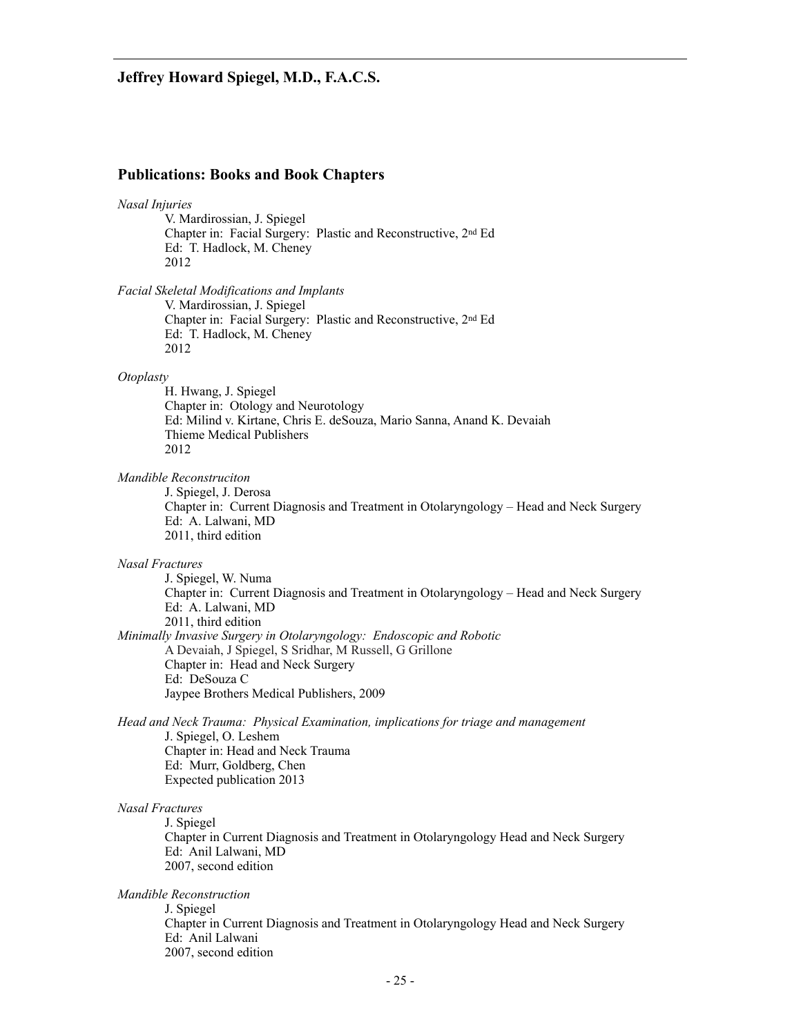#### **Publications: Books and Book Chapters**

# *Nasal Injuries*

V. Mardirossian, J. Spiegel Chapter in: Facial Surgery: Plastic and Reconstructive, 2nd Ed Ed: T. Hadlock, M. Cheney 2012

*Facial Skeletal Modifications and Implants* 

V. Mardirossian, J. Spiegel Chapter in: Facial Surgery: Plastic and Reconstructive, 2nd Ed Ed: T. Hadlock, M. Cheney 2012

#### *Otoplasty*

H. Hwang, J. Spiegel Chapter in: Otology and Neurotology Ed: Milind v. Kirtane, Chris E. deSouza, Mario Sanna, Anand K. Devaiah Thieme Medical Publishers 2012

#### *Mandible Reconstruciton*

J. Spiegel, J. Derosa Chapter in: Current Diagnosis and Treatment in Otolaryngology – Head and Neck Surgery Ed: A. Lalwani, MD 2011, third edition

#### *Nasal Fractures*

J. Spiegel, W. Numa Chapter in: Current Diagnosis and Treatment in Otolaryngology – Head and Neck Surgery Ed: A. Lalwani, MD 2011, third edition *Minimally Invasive Surgery in Otolaryngology: Endoscopic and Robotic* A Devaiah, J Spiegel, S Sridhar, M Russell, G Grillone Chapter in: Head and Neck Surgery Ed: DeSouza C Jaypee Brothers Medical Publishers, 2009

*Head and Neck Trauma: Physical Examination, implications for triage and management*

J. Spiegel, O. Leshem Chapter in: Head and Neck Trauma Ed: Murr, Goldberg, Chen Expected publication 2013

#### *Nasal Fractures*

J. Spiegel Chapter in Current Diagnosis and Treatment in Otolaryngology Head and Neck Surgery Ed: Anil Lalwani, MD 2007, second edition

#### *Mandible Reconstruction*

J. Spiegel Chapter in Current Diagnosis and Treatment in Otolaryngology Head and Neck Surgery Ed: Anil Lalwani 2007, second edition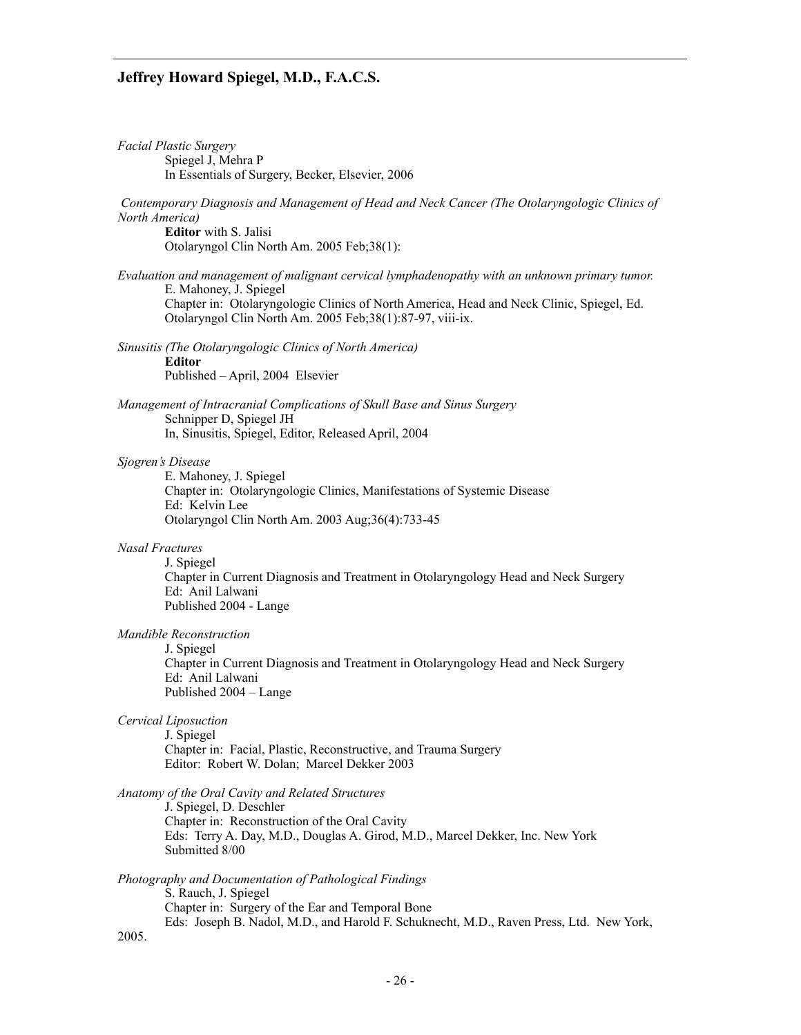| <b>Facial Plastic Surgery</b><br>Spiegel J, Mehra P                                                                                                                                          |
|----------------------------------------------------------------------------------------------------------------------------------------------------------------------------------------------|
| In Essentials of Surgery, Becker, Elsevier, 2006                                                                                                                                             |
| Contemporary Diagnosis and Management of Head and Neck Cancer (The Otolaryngologic Clinics of<br>North America)                                                                              |
| <b>Editor</b> with S. Jalisi<br>Otolaryngol Clin North Am. 2005 Feb;38(1):                                                                                                                   |
| Evaluation and management of malignant cervical lymphadenopathy with an unknown primary tumor.                                                                                               |
| E. Mahoney, J. Spiegel<br>Chapter in: Otolaryngologic Clinics of North America, Head and Neck Clinic, Spiegel, Ed.<br>Otolaryngol Clin North Am. 2005 Feb;38(1):87-97, viii-ix.              |
| Sinusitis (The Otolaryngologic Clinics of North America)<br><b>Editor</b>                                                                                                                    |
| Published - April, 2004 Elsevier                                                                                                                                                             |
| Management of Intracranial Complications of Skull Base and Sinus Surgery<br>Schnipper D, Spiegel JH                                                                                          |
| In, Sinusitis, Spiegel, Editor, Released April, 2004                                                                                                                                         |
| Sjogren's Disease<br>E. Mahoney, J. Spiegel<br>Chapter in: Otolaryngologic Clinics, Manifestations of Systemic Disease<br>Ed: Kelvin Lee<br>Otolaryngol Clin North Am. 2003 Aug;36(4):733-45 |
|                                                                                                                                                                                              |
| Nasal Fractures<br>J. Spiegel<br>Chapter in Current Diagnosis and Treatment in Otolaryngology Head and Neck Surgery<br>Ed: Anil Lalwani<br>Published 2004 - Lange                            |
| Mandible Reconstruction                                                                                                                                                                      |
| J. Spiegel<br>Chapter in Current Diagnosis and Treatment in Otolaryngology Head and Neck Surgery<br>Ed: Anil Lalwani<br>Published 2004 – Lange                                               |
| Cervical Liposuction                                                                                                                                                                         |
| J. Spiegel<br>Chapter in: Facial, Plastic, Reconstructive, and Trauma Surgery<br>Editor: Robert W. Dolan; Marcel Dekker 2003                                                                 |
| Anatomy of the Oral Cavity and Related Structures<br>J. Spiegel, D. Deschler<br>Chapter in: Reconstruction of the Oral Cavity                                                                |
| Eds: Terry A. Day, M.D., Douglas A. Girod, M.D., Marcel Dekker, Inc. New York<br>Submitted 8/00                                                                                              |
| Photography and Documentation of Pathological Findings<br>S. Rauch, J. Spiegel                                                                                                               |

Chapter in: Surgery of the Ear and Temporal Bone

2005.

Eds: Joseph B. Nadol, M.D., and Harold F. Schuknecht, M.D., Raven Press, Ltd. New York,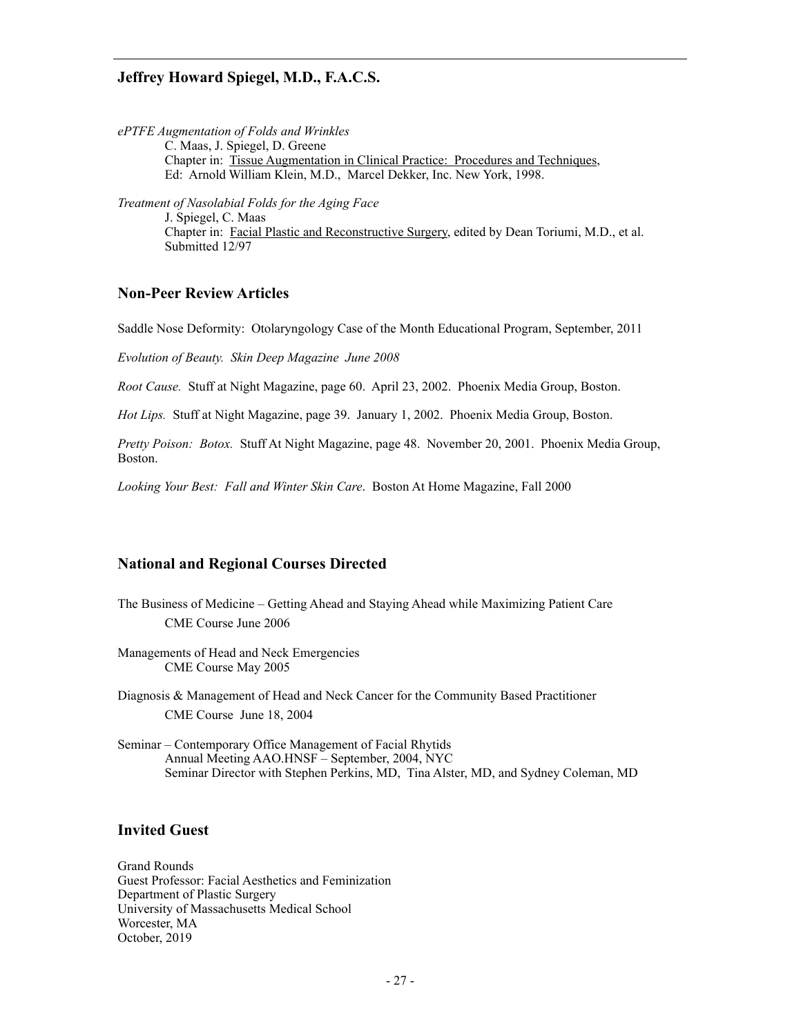*ePTFE Augmentation of Folds and Wrinkles*  C. Maas, J. Spiegel, D. Greene Chapter in: Tissue Augmentation in Clinical Practice: Procedures and Techniques, Ed: Arnold William Klein, M.D., Marcel Dekker, Inc. New York, 1998.

*Treatment of Nasolabial Folds for the Aging Face*  J. Spiegel, C. Maas Chapter in: Facial Plastic and Reconstructive Surgery, edited by Dean Toriumi, M.D., et al. Submitted 12/97

### **Non-Peer Review Articles**

Saddle Nose Deformity: Otolaryngology Case of the Month Educational Program, September, 2011

*Evolution of Beauty. Skin Deep Magazine June 2008* 

*Root Cause.* Stuff at Night Magazine, page 60. April 23, 2002. Phoenix Media Group, Boston.

*Hot Lips.* Stuff at Night Magazine, page 39. January 1, 2002. Phoenix Media Group, Boston.

*Pretty Poison: Botox.* Stuff At Night Magazine, page 48. November 20, 2001. Phoenix Media Group, Boston.

*Looking Your Best: Fall and Winter Skin Care*. Boston At Home Magazine, Fall 2000

#### **National and Regional Courses Directed**

- The Business of Medicine Getting Ahead and Staying Ahead while Maximizing Patient Care CME Course June 2006
- Managements of Head and Neck Emergencies CME Course May 2005
- Diagnosis & Management of Head and Neck Cancer for the Community Based Practitioner CME Course June 18, 2004
- Seminar Contemporary Office Management of Facial Rhytids Annual Meeting AAO.HNSF – September, 2004, NYC Seminar Director with Stephen Perkins, MD, Tina Alster, MD, and Sydney Coleman, MD

#### **Invited Guest**

Grand Rounds Guest Professor: Facial Aesthetics and Feminization Department of Plastic Surgery University of Massachusetts Medical School Worcester, MA October, 2019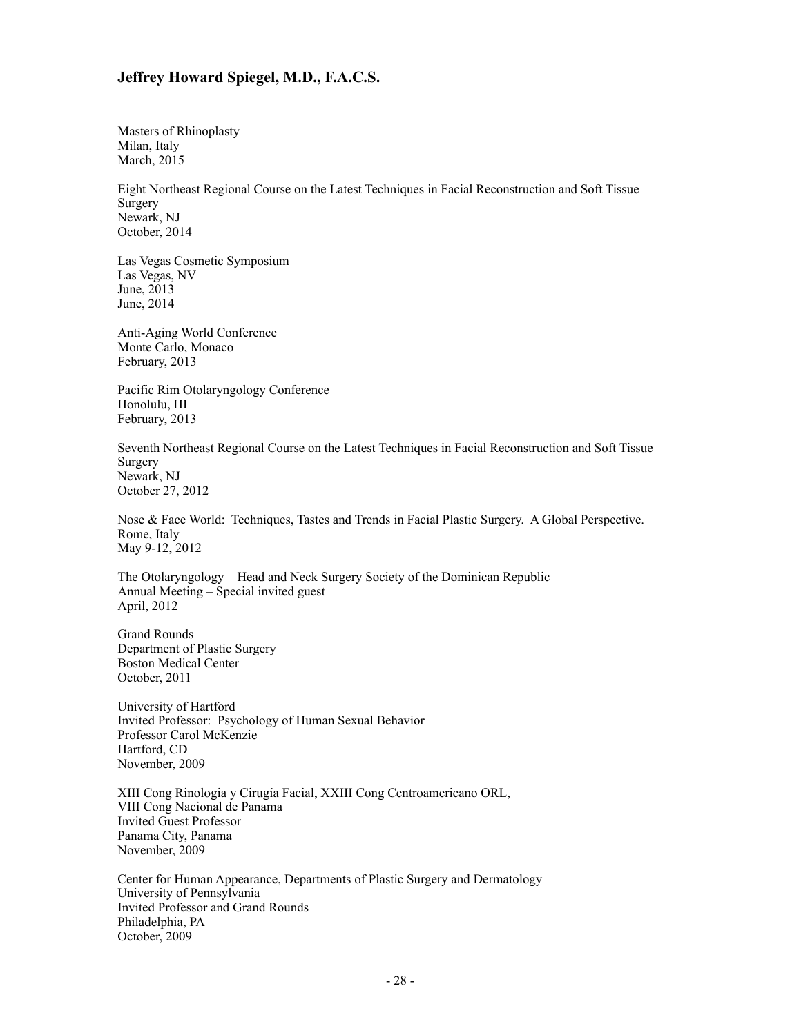Masters of Rhinoplasty Milan, Italy March, 2015

Eight Northeast Regional Course on the Latest Techniques in Facial Reconstruction and Soft Tissue Surgery Newark, NJ October, 2014

Las Vegas Cosmetic Symposium Las Vegas, NV June, 2013 June, 2014

Anti-Aging World Conference Monte Carlo, Monaco February, 2013

Pacific Rim Otolaryngology Conference Honolulu, HI February, 2013

Seventh Northeast Regional Course on the Latest Techniques in Facial Reconstruction and Soft Tissue Surgery Newark, NJ October 27, 2012

Nose & Face World: Techniques, Tastes and Trends in Facial Plastic Surgery. A Global Perspective. Rome, Italy May 9-12, 2012

The Otolaryngology – Head and Neck Surgery Society of the Dominican Republic Annual Meeting – Special invited guest April, 2012

Grand Rounds Department of Plastic Surgery Boston Medical Center October, 2011

University of Hartford Invited Professor: Psychology of Human Sexual Behavior Professor Carol McKenzie Hartford, CD November, 2009

XIII Cong Rinologia y Cirugía Facial, XXIII Cong Centroamericano ORL, VIII Cong Nacional de Panama Invited Guest Professor Panama City, Panama November, 2009

Center for Human Appearance, Departments of Plastic Surgery and Dermatology University of Pennsylvania Invited Professor and Grand Rounds Philadelphia, PA October, 2009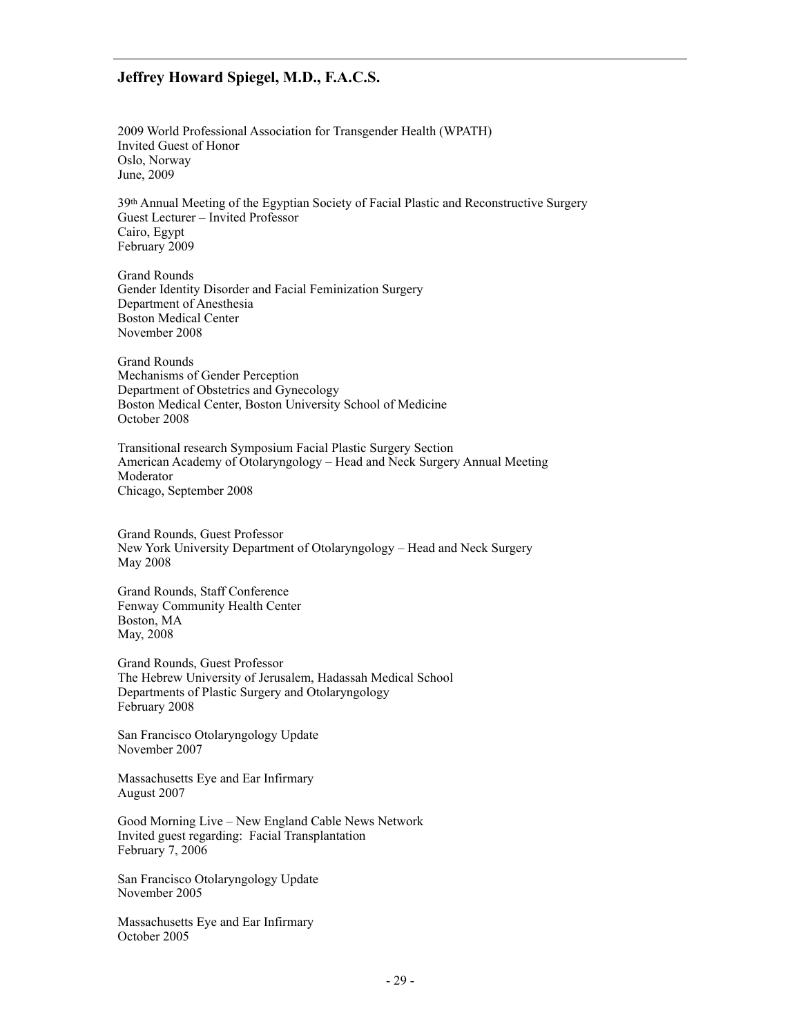2009 World Professional Association for Transgender Health (WPATH) Invited Guest of Honor Oslo, Norway June, 2009

39th Annual Meeting of the Egyptian Society of Facial Plastic and Reconstructive Surgery Guest Lecturer – Invited Professor Cairo, Egypt February 2009

Grand Rounds Gender Identity Disorder and Facial Feminization Surgery Department of Anesthesia Boston Medical Center November 2008

Grand Rounds Mechanisms of Gender Perception Department of Obstetrics and Gynecology Boston Medical Center, Boston University School of Medicine October 2008

Transitional research Symposium Facial Plastic Surgery Section American Academy of Otolaryngology – Head and Neck Surgery Annual Meeting Moderator Chicago, September 2008

Grand Rounds, Guest Professor New York University Department of Otolaryngology – Head and Neck Surgery May 2008

Grand Rounds, Staff Conference Fenway Community Health Center Boston, MA May, 2008

Grand Rounds, Guest Professor The Hebrew University of Jerusalem, Hadassah Medical School Departments of Plastic Surgery and Otolaryngology February 2008

San Francisco Otolaryngology Update November 2007

Massachusetts Eye and Ear Infirmary August 2007

Good Morning Live – New England Cable News Network Invited guest regarding: Facial Transplantation February 7, 2006

San Francisco Otolaryngology Update November 2005

Massachusetts Eye and Ear Infirmary October 2005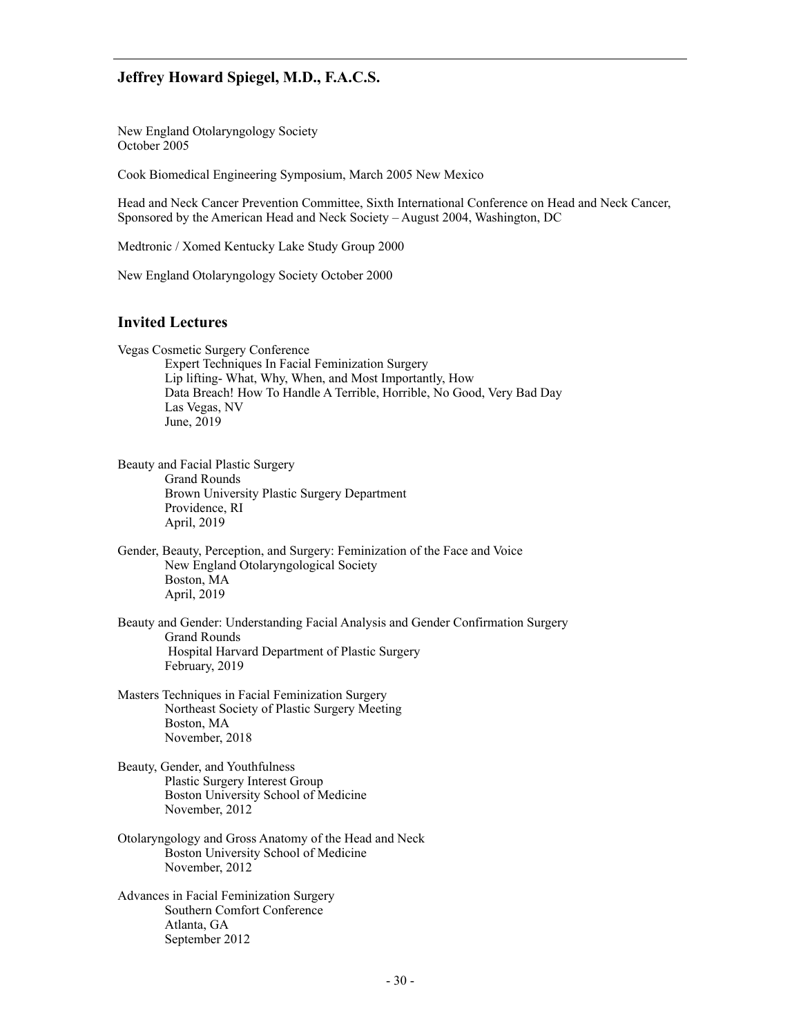New England Otolaryngology Society October 2005

Cook Biomedical Engineering Symposium, March 2005 New Mexico

Head and Neck Cancer Prevention Committee, Sixth International Conference on Head and Neck Cancer, Sponsored by the American Head and Neck Society – August 2004, Washington, DC

Medtronic / Xomed Kentucky Lake Study Group 2000

New England Otolaryngology Society October 2000

### **Invited Lectures**

Vegas Cosmetic Surgery Conference

 Expert Techniques In Facial Feminization Surgery Lip lifting- What, Why, When, and Most Importantly, How Data Breach! How To Handle A Terrible, Horrible, No Good, Very Bad Day Las Vegas, NV June, 2019

- Beauty and Facial Plastic Surgery Grand Rounds Brown University Plastic Surgery Department Providence, RI April, 2019
- Gender, Beauty, Perception, and Surgery: Feminization of the Face and Voice New England Otolaryngological Society Boston, MA April, 2019
- Beauty and Gender: Understanding Facial Analysis and Gender Confirmation Surgery Grand Rounds Hospital Harvard Department of Plastic Surgery February, 2019
- Masters Techniques in Facial Feminization Surgery Northeast Society of Plastic Surgery Meeting Boston, MA November, 2018
- Beauty, Gender, and Youthfulness Plastic Surgery Interest Group Boston University School of Medicine November, 2012
- Otolaryngology and Gross Anatomy of the Head and Neck Boston University School of Medicine November, 2012
- Advances in Facial Feminization Surgery Southern Comfort Conference Atlanta, GA September 2012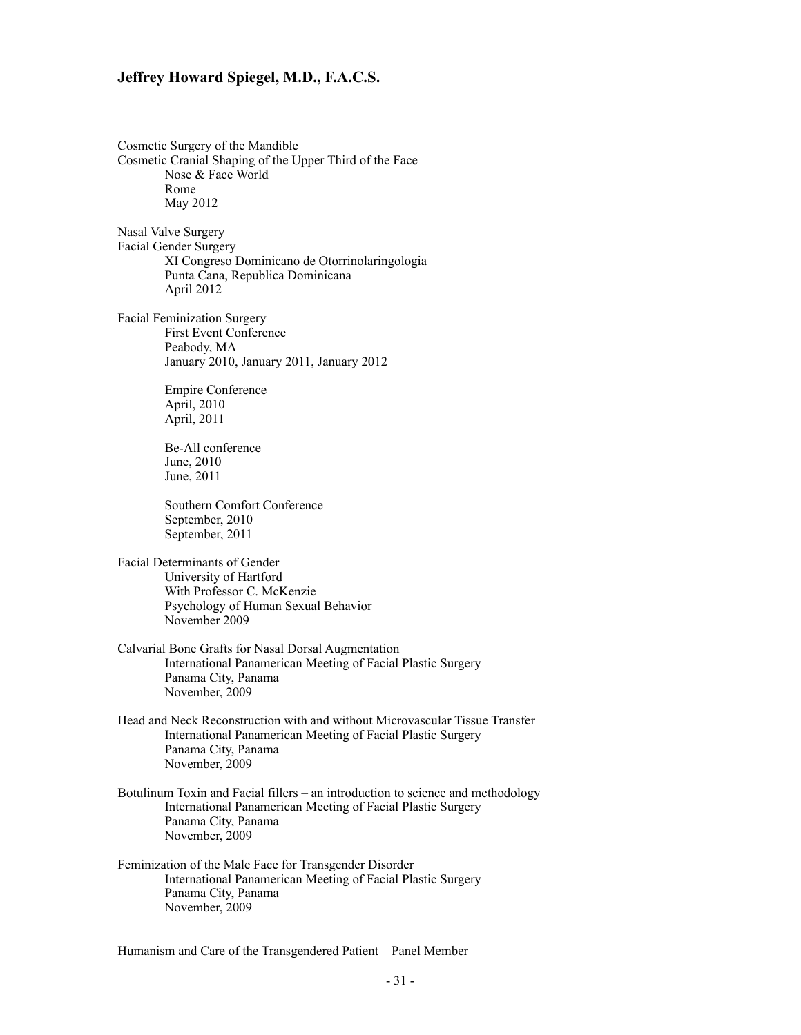Cosmetic Surgery of the Mandible Cosmetic Cranial Shaping of the Upper Third of the Face Nose & Face World Rome May 2012

Nasal Valve Surgery Facial Gender Surgery XI Congreso Dominicano de Otorrinolaringologia Punta Cana, Republica Dominicana April 2012

Facial Feminization Surgery First Event Conference Peabody, MA January 2010, January 2011, January 2012

> Empire Conference April, 2010 April, 2011

 Be-All conference June, 2010 June, 2011

 Southern Comfort Conference September, 2010 September, 2011

Facial Determinants of Gender University of Hartford With Professor C. McKenzie Psychology of Human Sexual Behavior November 2009

- Calvarial Bone Grafts for Nasal Dorsal Augmentation International Panamerican Meeting of Facial Plastic Surgery Panama City, Panama November, 2009
- Head and Neck Reconstruction with and without Microvascular Tissue Transfer International Panamerican Meeting of Facial Plastic Surgery Panama City, Panama November, 2009
- Botulinum Toxin and Facial fillers an introduction to science and methodology International Panamerican Meeting of Facial Plastic Surgery Panama City, Panama November, 2009
- Feminization of the Male Face for Transgender Disorder International Panamerican Meeting of Facial Plastic Surgery Panama City, Panama November, 2009

Humanism and Care of the Transgendered Patient – Panel Member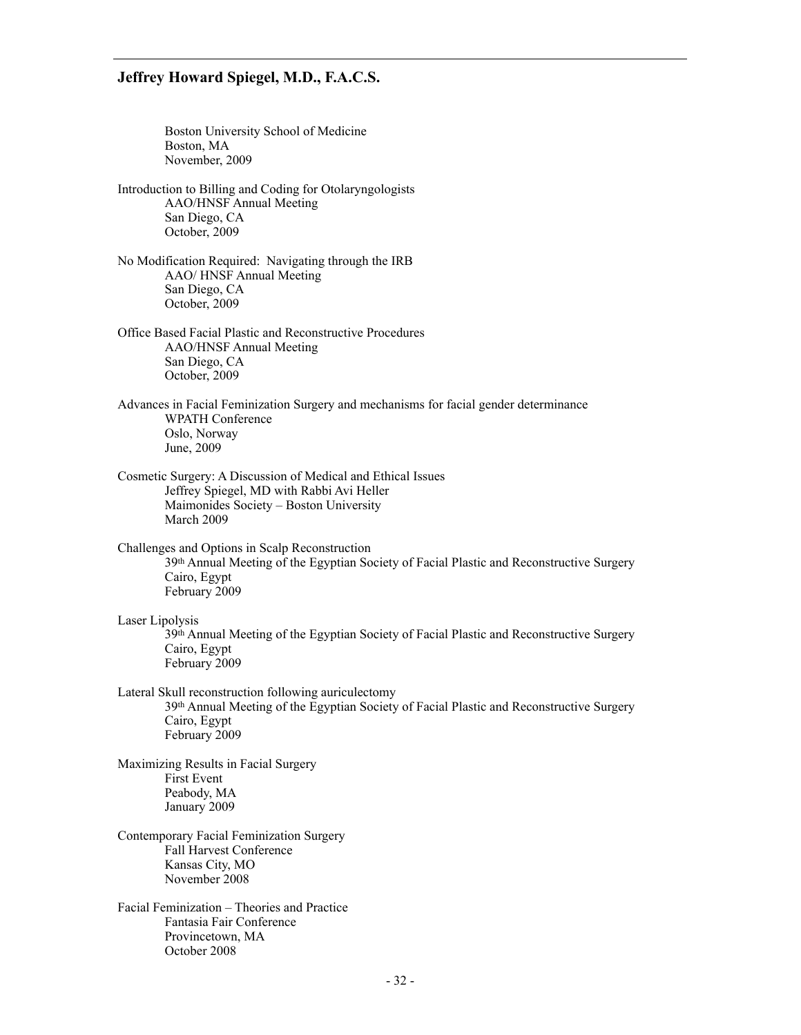Boston University School of Medicine Boston, MA November, 2009

- Introduction to Billing and Coding for Otolaryngologists AAO/HNSF Annual Meeting San Diego, CA October, 2009
- No Modification Required: Navigating through the IRB AAO/ HNSF Annual Meeting San Diego, CA October, 2009
- Office Based Facial Plastic and Reconstructive Procedures AAO/HNSF Annual Meeting San Diego, CA October, 2009
- Advances in Facial Feminization Surgery and mechanisms for facial gender determinance WPATH Conference Oslo, Norway June, 2009
- Cosmetic Surgery: A Discussion of Medical and Ethical Issues Jeffrey Spiegel, MD with Rabbi Avi Heller Maimonides Society – Boston University March 2009

Challenges and Options in Scalp Reconstruction

39th Annual Meeting of the Egyptian Society of Facial Plastic and Reconstructive Surgery Cairo, Egypt February 2009

#### Laser Lipolysis

39th Annual Meeting of the Egyptian Society of Facial Plastic and Reconstructive Surgery Cairo, Egypt February 2009

Lateral Skull reconstruction following auriculectomy 39th Annual Meeting of the Egyptian Society of Facial Plastic and Reconstructive Surgery Cairo, Egypt February 2009

Maximizing Results in Facial Surgery First Event Peabody, MA January 2009

- Contemporary Facial Feminization Surgery Fall Harvest Conference Kansas City, MO November 2008
- Facial Feminization Theories and Practice Fantasia Fair Conference Provincetown, MA October 2008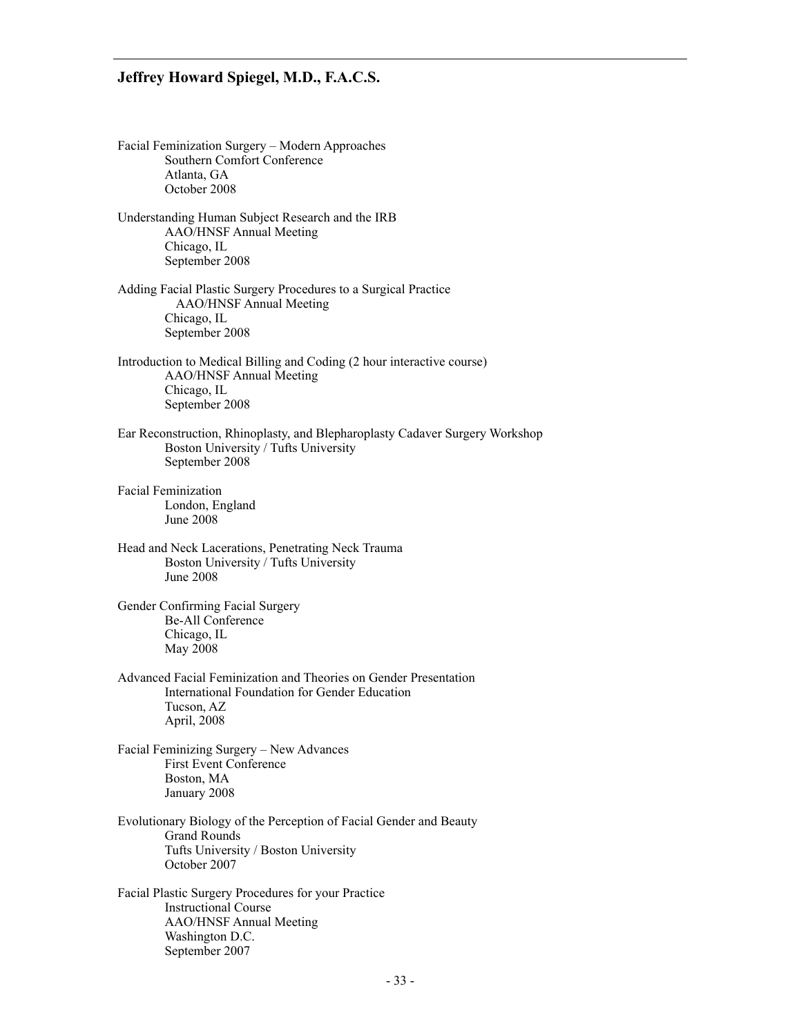Facial Feminization Surgery – Modern Approaches Southern Comfort Conference Atlanta, GA October 2008 Understanding Human Subject Research and the IRB AAO/HNSF Annual Meeting Chicago, IL September 2008 Adding Facial Plastic Surgery Procedures to a Surgical Practice AAO/HNSF Annual Meeting Chicago, IL September 2008 Introduction to Medical Billing and Coding (2 hour interactive course) AAO/HNSF Annual Meeting Chicago, IL September 2008 Ear Reconstruction, Rhinoplasty, and Blepharoplasty Cadaver Surgery Workshop Boston University / Tufts University September 2008 Facial Feminization London, England June 2008 Head and Neck Lacerations, Penetrating Neck Trauma Boston University / Tufts University June 2008 Gender Confirming Facial Surgery Be-All Conference Chicago, IL May 2008 Advanced Facial Feminization and Theories on Gender Presentation International Foundation for Gender Education Tucson, AZ April, 2008 Facial Feminizing Surgery – New Advances First Event Conference Boston, MA January 2008 Evolutionary Biology of the Perception of Facial Gender and Beauty Grand Rounds Tufts University / Boston University October 2007 Facial Plastic Surgery Procedures for your Practice Instructional Course AAO/HNSF Annual Meeting Washington D.C. September 2007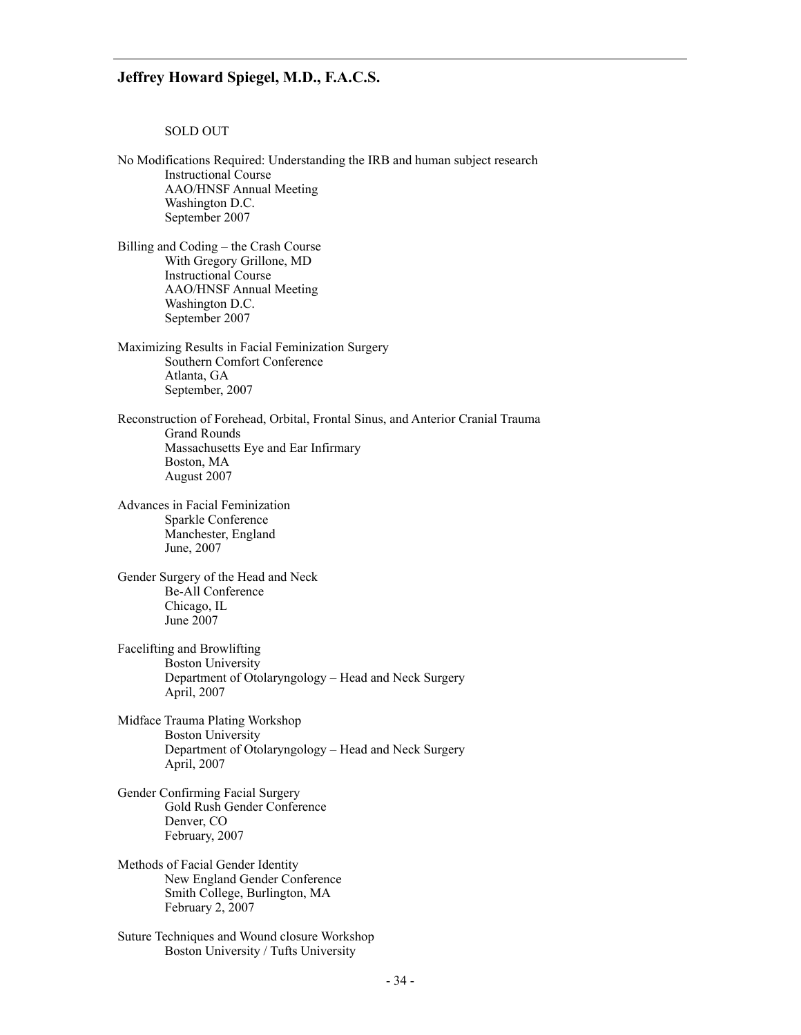#### SOLD OUT

No Modifications Required: Understanding the IRB and human subject research Instructional Course AAO/HNSF Annual Meeting Washington D.C. September 2007 Billing and Coding – the Crash Course With Gregory Grillone, MD Instructional Course AAO/HNSF Annual Meeting Washington D.C. September 2007 Maximizing Results in Facial Feminization Surgery Southern Comfort Conference Atlanta, GA September, 2007 Reconstruction of Forehead, Orbital, Frontal Sinus, and Anterior Cranial Trauma Grand Rounds Massachusetts Eye and Ear Infirmary Boston, MA August 2007 Advances in Facial Feminization Sparkle Conference Manchester, England June, 2007 Gender Surgery of the Head and Neck Be-All Conference Chicago, IL June 2007 Facelifting and Browlifting Boston University Department of Otolaryngology – Head and Neck Surgery April, 2007 Midface Trauma Plating Workshop Boston University Department of Otolaryngology – Head and Neck Surgery April, 2007 Gender Confirming Facial Surgery Gold Rush Gender Conference Denver, CO February, 2007 Methods of Facial Gender Identity New England Gender Conference Smith College, Burlington, MA February 2, 2007 Suture Techniques and Wound closure Workshop Boston University / Tufts University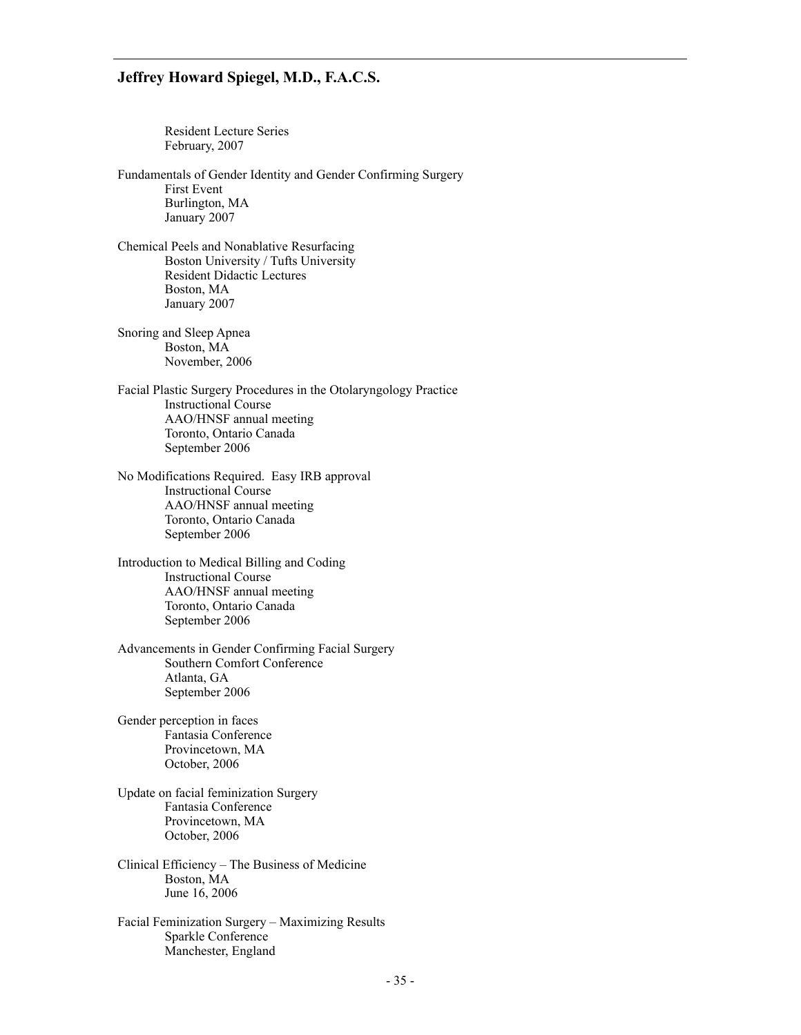Resident Lecture Series February, 2007

Fundamentals of Gender Identity and Gender Confirming Surgery First Event Burlington, MA January 2007

Chemical Peels and Nonablative Resurfacing Boston University / Tufts University Resident Didactic Lectures Boston, MA January 2007

Snoring and Sleep Apnea Boston, MA November, 2006

Facial Plastic Surgery Procedures in the Otolaryngology Practice Instructional Course AAO/HNSF annual meeting Toronto, Ontario Canada September 2006

No Modifications Required. Easy IRB approval Instructional Course AAO/HNSF annual meeting Toronto, Ontario Canada September 2006

Introduction to Medical Billing and Coding Instructional Course AAO/HNSF annual meeting Toronto, Ontario Canada September 2006

Advancements in Gender Confirming Facial Surgery Southern Comfort Conference Atlanta, GA September 2006

Gender perception in faces Fantasia Conference Provincetown, MA October, 2006

Update on facial feminization Surgery Fantasia Conference Provincetown, MA October, 2006

Clinical Efficiency – The Business of Medicine Boston, MA June 16, 2006

Facial Feminization Surgery – Maximizing Results Sparkle Conference Manchester, England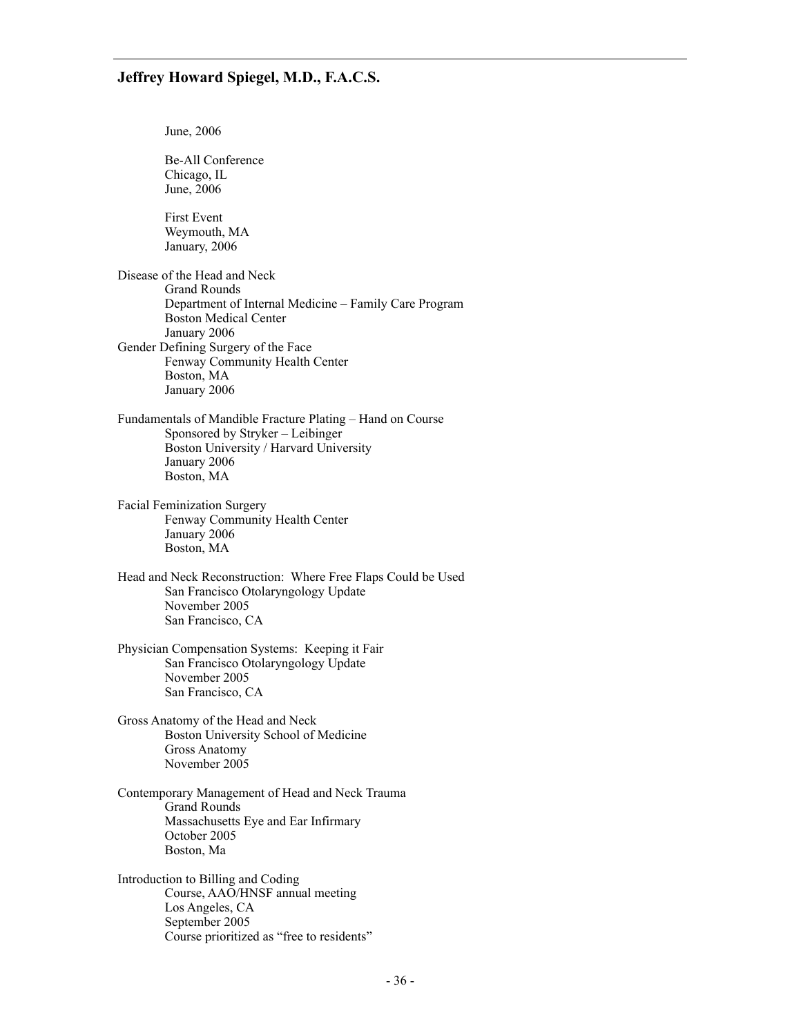June, 2006 Be-All Conference Chicago, IL June, 2006 First Event Weymouth, MA January, 2006 Disease of the Head and Neck Grand Rounds Department of Internal Medicine – Family Care Program Boston Medical Center January 2006 Gender Defining Surgery of the Face Fenway Community Health Center Boston, MA January 2006 Fundamentals of Mandible Fracture Plating – Hand on Course Sponsored by Stryker – Leibinger Boston University / Harvard University January 2006 Boston, MA Facial Feminization Surgery Fenway Community Health Center January 2006 Boston, MA Head and Neck Reconstruction: Where Free Flaps Could be Used San Francisco Otolaryngology Update November 2005 San Francisco, CA Physician Compensation Systems: Keeping it Fair San Francisco Otolaryngology Update November 2005 San Francisco, CA Gross Anatomy of the Head and Neck Boston University School of Medicine Gross Anatomy November 2005 Contemporary Management of Head and Neck Trauma Grand Rounds Massachusetts Eye and Ear Infirmary October 2005 Boston, Ma Introduction to Billing and Coding Course, AAO/HNSF annual meeting Los Angeles, CA September 2005 Course prioritized as "free to residents"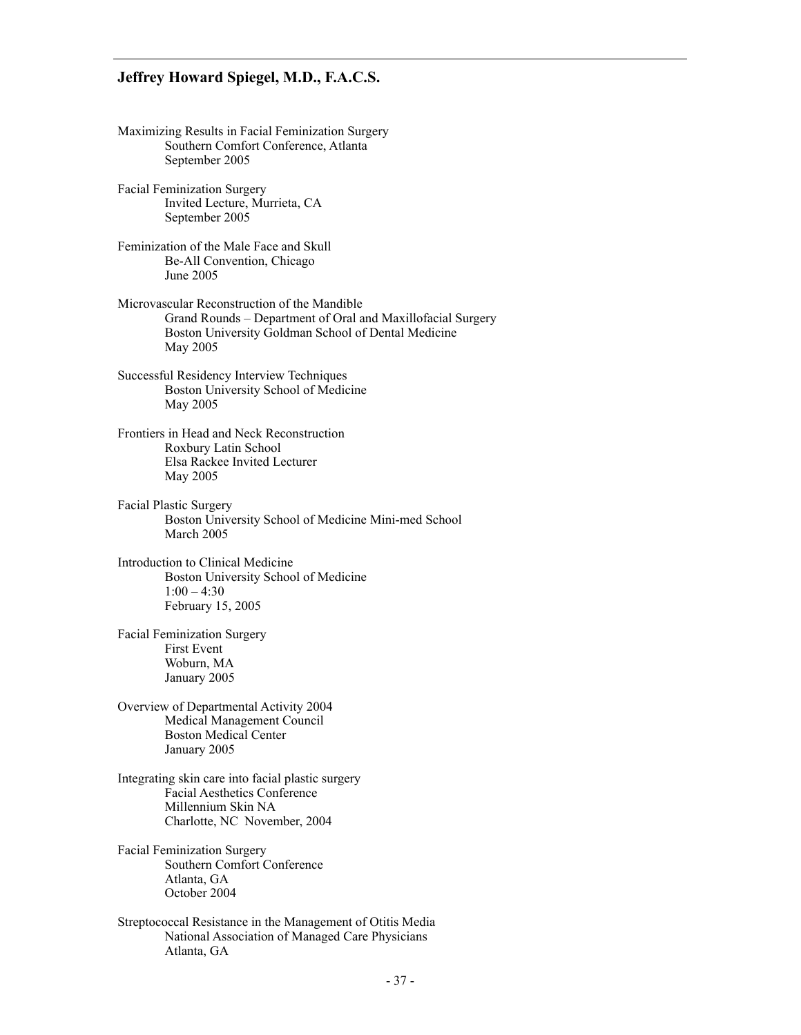Maximizing Results in Facial Feminization Surgery Southern Comfort Conference, Atlanta September 2005 Facial Feminization Surgery Invited Lecture, Murrieta, CA September 2005 Feminization of the Male Face and Skull Be-All Convention, Chicago June 2005 Microvascular Reconstruction of the Mandible Grand Rounds – Department of Oral and Maxillofacial Surgery Boston University Goldman School of Dental Medicine May 2005 Successful Residency Interview Techniques Boston University School of Medicine May 2005 Frontiers in Head and Neck Reconstruction Roxbury Latin School Elsa Rackee Invited Lecturer May 2005 Facial Plastic Surgery Boston University School of Medicine Mini-med School March 2005 Introduction to Clinical Medicine Boston University School of Medicine  $1:00 - 4:30$  February 15, 2005 Facial Feminization Surgery First Event Woburn, MA January 2005 Overview of Departmental Activity 2004 Medical Management Council Boston Medical Center January 2005 Integrating skin care into facial plastic surgery Facial Aesthetics Conference Millennium Skin NA Charlotte, NC November, 2004 Facial Feminization Surgery Southern Comfort Conference Atlanta, GA October 2004 Streptococcal Resistance in the Management of Otitis Media National Association of Managed Care Physicians Atlanta, GA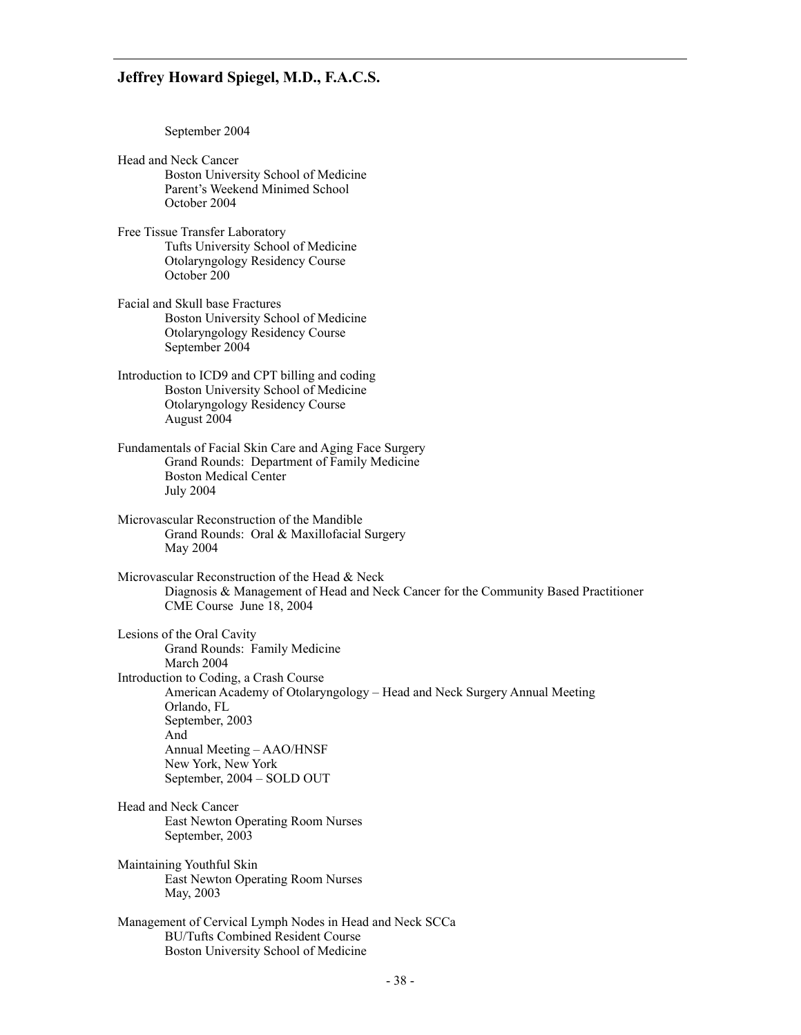September 2004

- Head and Neck Cancer Boston University School of Medicine Parent's Weekend Minimed School October 2004
- Free Tissue Transfer Laboratory Tufts University School of Medicine Otolaryngology Residency Course October 200
- Facial and Skull base Fractures Boston University School of Medicine Otolaryngology Residency Course September 2004
- Introduction to ICD9 and CPT billing and coding Boston University School of Medicine Otolaryngology Residency Course August 2004
- Fundamentals of Facial Skin Care and Aging Face Surgery Grand Rounds: Department of Family Medicine Boston Medical Center July 2004
- Microvascular Reconstruction of the Mandible Grand Rounds: Oral & Maxillofacial Surgery May 2004
- Microvascular Reconstruction of the Head & Neck Diagnosis & Management of Head and Neck Cancer for the Community Based Practitioner CME Course June 18, 2004

Lesions of the Oral Cavity Grand Rounds: Family Medicine March 2004 Introduction to Coding, a Crash Course American Academy of Otolaryngology – Head and Neck Surgery Annual Meeting Orlando, FL September, 2003 And Annual Meeting – AAO/HNSF New York, New York September, 2004 – SOLD OUT

- Head and Neck Cancer East Newton Operating Room Nurses September, 2003
- Maintaining Youthful Skin East Newton Operating Room Nurses May, 2003
- Management of Cervical Lymph Nodes in Head and Neck SCCa BU/Tufts Combined Resident Course Boston University School of Medicine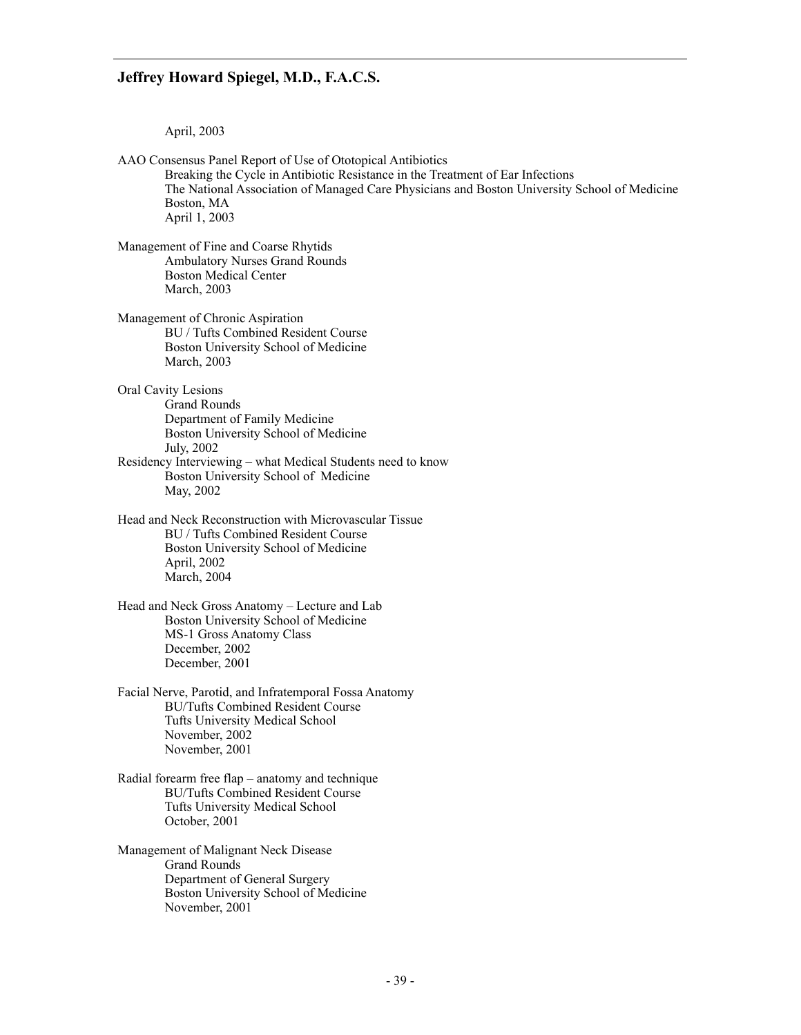April, 2003

AAO Consensus Panel Report of Use of Ototopical Antibiotics Breaking the Cycle in Antibiotic Resistance in the Treatment of Ear Infections The National Association of Managed Care Physicians and Boston University School of Medicine Boston, MA April 1, 2003 Management of Fine and Coarse Rhytids Ambulatory Nurses Grand Rounds Boston Medical Center March, 2003 Management of Chronic Aspiration BU / Tufts Combined Resident Course Boston University School of Medicine March, 2003 Oral Cavity Lesions Grand Rounds Department of Family Medicine Boston University School of Medicine July, 2002 Residency Interviewing – what Medical Students need to know Boston University School of Medicine May, 2002 Head and Neck Reconstruction with Microvascular Tissue BU / Tufts Combined Resident Course Boston University School of Medicine April, 2002 March, 2004 Head and Neck Gross Anatomy – Lecture and Lab Boston University School of Medicine MS-1 Gross Anatomy Class December, 2002 December, 2001 Facial Nerve, Parotid, and Infratemporal Fossa Anatomy BU/Tufts Combined Resident Course Tufts University Medical School November, 2002 November, 2001 Radial forearm free flap – anatomy and technique BU/Tufts Combined Resident Course Tufts University Medical School October, 2001 Management of Malignant Neck Disease Grand Rounds Department of General Surgery Boston University School of Medicine November, 2001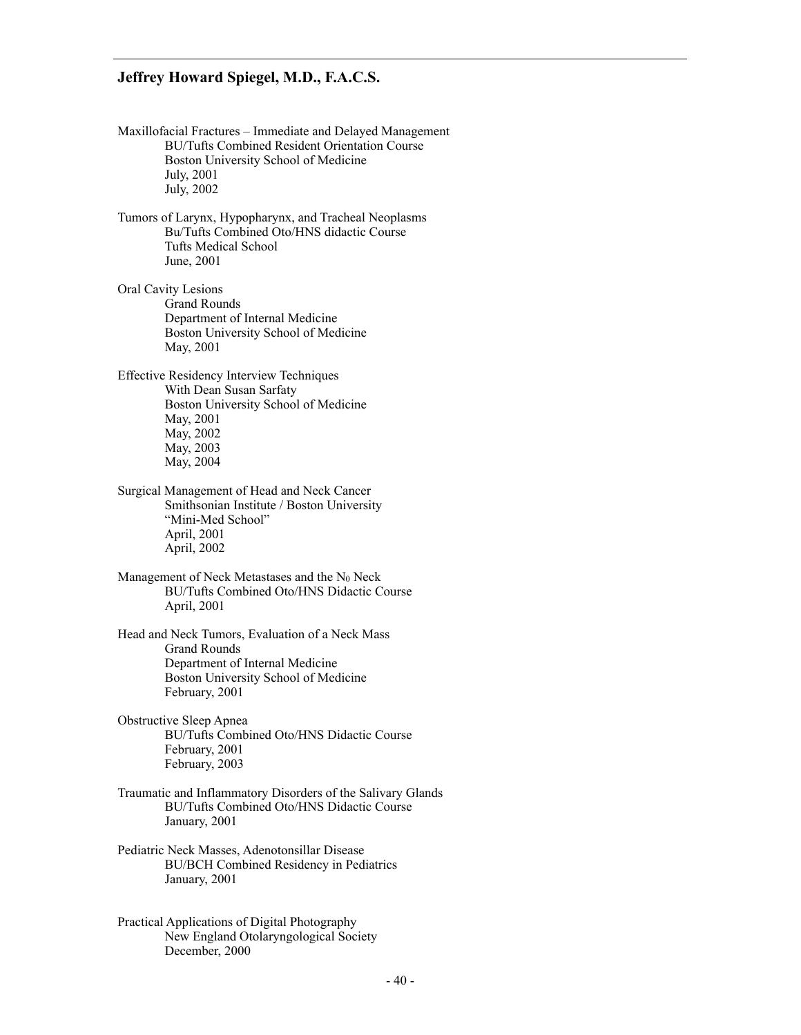- Maxillofacial Fractures Immediate and Delayed Management BU/Tufts Combined Resident Orientation Course Boston University School of Medicine July, 2001 July, 2002
- Tumors of Larynx, Hypopharynx, and Tracheal Neoplasms Bu/Tufts Combined Oto/HNS didactic Course Tufts Medical School June, 2001

Oral Cavity Lesions Grand Rounds Department of Internal Medicine Boston University School of Medicine May, 2001

Effective Residency Interview Techniques With Dean Susan Sarfaty Boston University School of Medicine May, 2001 May, 2002 May, 2003 May, 2004

Surgical Management of Head and Neck Cancer Smithsonian Institute / Boston University "Mini-Med School" April, 2001 April, 2002

Management of Neck Metastases and the  $N_0$  Neck BU/Tufts Combined Oto/HNS Didactic Course April, 2001

Head and Neck Tumors, Evaluation of a Neck Mass Grand Rounds Department of Internal Medicine Boston University School of Medicine February, 2001

- Obstructive Sleep Apnea BU/Tufts Combined Oto/HNS Didactic Course February, 2001 February, 2003
- Traumatic and Inflammatory Disorders of the Salivary Glands BU/Tufts Combined Oto/HNS Didactic Course January, 2001
- Pediatric Neck Masses, Adenotonsillar Disease BU/BCH Combined Residency in Pediatrics January, 2001
- Practical Applications of Digital Photography New England Otolaryngological Society December, 2000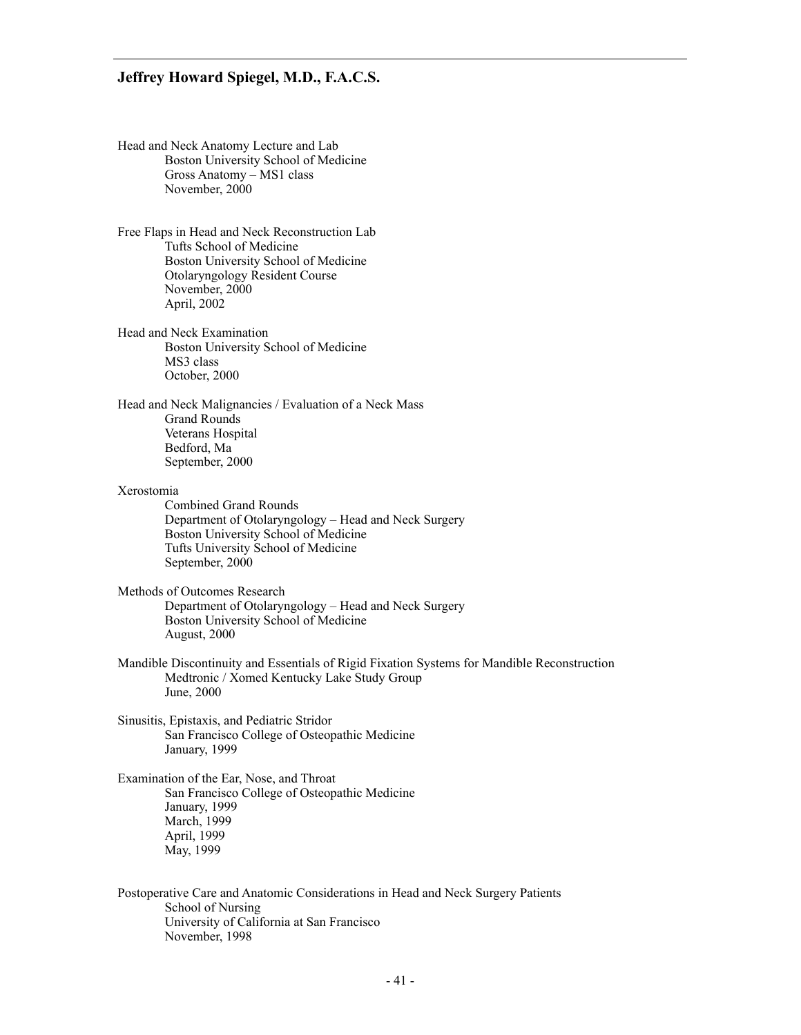| Head and Neck Anatomy Lecture and Lab |  |
|---------------------------------------|--|
| Boston University School of Medicine  |  |
| Gross Anatomy – MS1 class             |  |
| November, 2000                        |  |

Free Flaps in Head and Neck Reconstruction Lab Tufts School of Medicine Boston University School of Medicine Otolaryngology Resident Course November, 2000 April, 2002

Head and Neck Examination Boston University School of Medicine MS3 class October, 2000

Head and Neck Malignancies / Evaluation of a Neck Mass Grand Rounds Veterans Hospital Bedford, Ma September, 2000

#### Xerostomia

 Combined Grand Rounds Department of Otolaryngology – Head and Neck Surgery Boston University School of Medicine Tufts University School of Medicine September, 2000

Methods of Outcomes Research

 Department of Otolaryngology – Head and Neck Surgery Boston University School of Medicine August, 2000

- Mandible Discontinuity and Essentials of Rigid Fixation Systems for Mandible Reconstruction Medtronic / Xomed Kentucky Lake Study Group June, 2000
- Sinusitis, Epistaxis, and Pediatric Stridor San Francisco College of Osteopathic Medicine January, 1999

Examination of the Ear, Nose, and Throat San Francisco College of Osteopathic Medicine January, 1999 March, 1999 April, 1999 May, 1999

Postoperative Care and Anatomic Considerations in Head and Neck Surgery Patients School of Nursing University of California at San Francisco November, 1998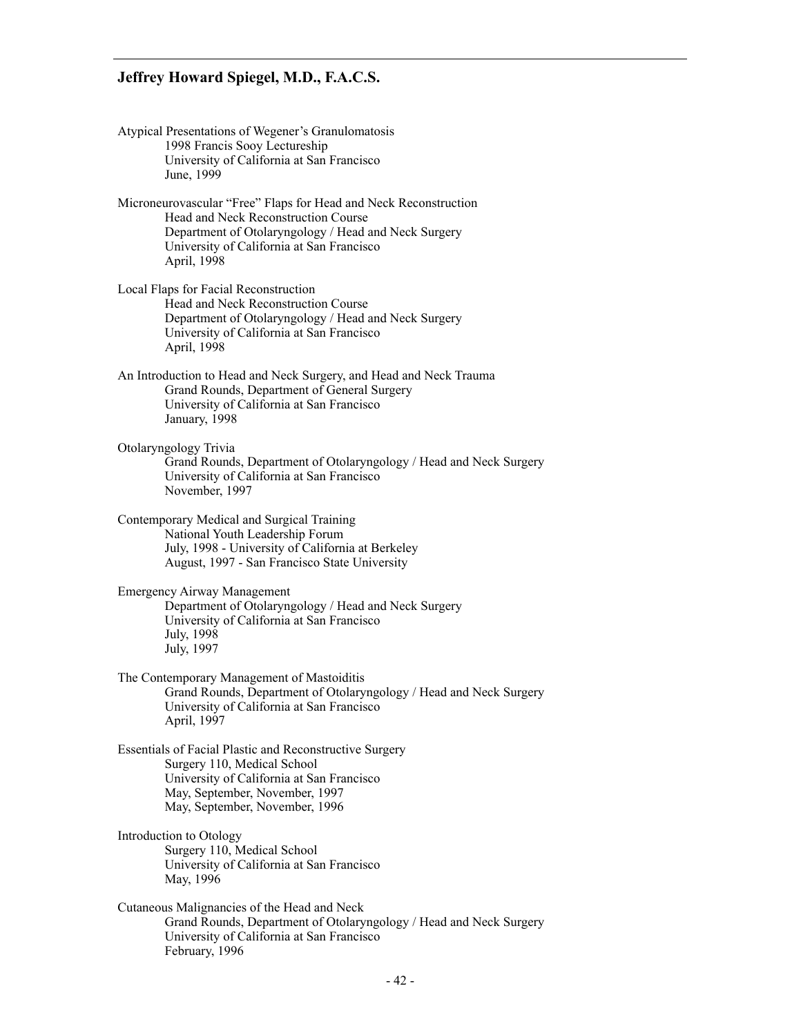Atypical Presentations of Wegener's Granulomatosis 1998 Francis Sooy Lectureship University of California at San Francisco June, 1999 Microneurovascular "Free" Flaps for Head and Neck Reconstruction Head and Neck Reconstruction Course Department of Otolaryngology / Head and Neck Surgery University of California at San Francisco April, 1998 Local Flaps for Facial Reconstruction Head and Neck Reconstruction Course Department of Otolaryngology / Head and Neck Surgery University of California at San Francisco April, 1998 An Introduction to Head and Neck Surgery, and Head and Neck Trauma Grand Rounds, Department of General Surgery University of California at San Francisco January, 1998 Otolaryngology Trivia Grand Rounds, Department of Otolaryngology / Head and Neck Surgery University of California at San Francisco November, 1997 Contemporary Medical and Surgical Training National Youth Leadership Forum July, 1998 - University of California at Berkeley August, 1997 - San Francisco State University Emergency Airway Management Department of Otolaryngology / Head and Neck Surgery University of California at San Francisco July, 1998 July, 1997 The Contemporary Management of Mastoiditis Grand Rounds, Department of Otolaryngology / Head and Neck Surgery University of California at San Francisco April, 1997 Essentials of Facial Plastic and Reconstructive Surgery Surgery 110, Medical School University of California at San Francisco May, September, November, 1997 May, September, November, 1996 Introduction to Otology Surgery 110, Medical School University of California at San Francisco May, 1996 Cutaneous Malignancies of the Head and Neck Grand Rounds, Department of Otolaryngology / Head and Neck Surgery University of California at San Francisco February, 1996